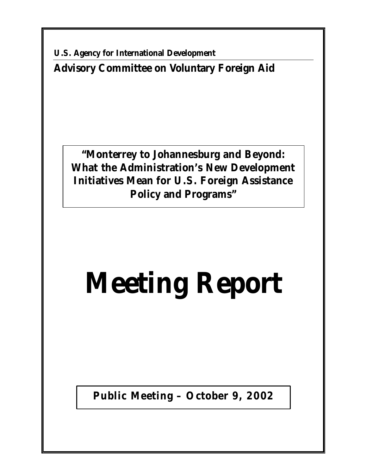**U.S. Agency for International Development Advisory Committee on Voluntary Foreign Aid** 

**"Monterrey to Johannesburg and Beyond: What the Administration's New Development Initiatives Mean for U.S. Foreign Assistance Policy and Programs"** 

# **Meeting Report**

**Public Meeting – October 9, 2002**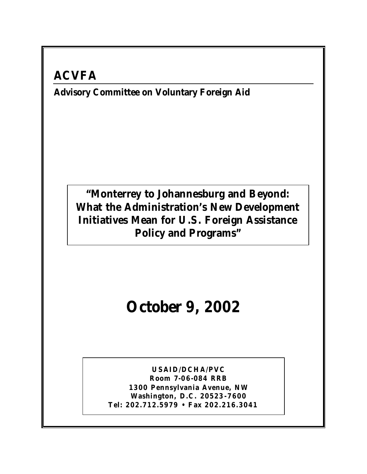## **ACVFA**

**Advisory Committee on Voluntary Foreign Aid** 

### **"Monterrey to Johannesburg and Beyond: What the Administration's New Development Initiatives Mean for U.S. Foreign Assistance Policy and Programs"**

# **October 9, 2002**

**USAID/DCHA/PVC Room 7-06 -084 RRB 1300 Pennsylvania Avenue, NW Washington, D.C. 20523 -7600 Tel: 202.712.5979 • Fax 202.216.3041**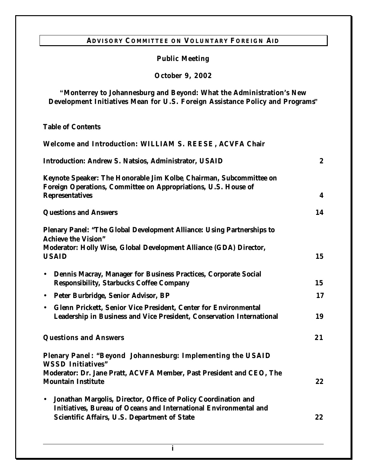#### **ADVISORY COMMITTEE ON VOLUNTARY FOREIGN AID**

#### **Public Meeting**

#### **October 9, 2002**

#### **"Monterrey to Johannesburg and Beyond: What the Administration's New Development Initiatives Mean for U.S. Foreign Assistance Policy and Programs"**

**Table of Contents** 

| Welcome and Introduction: WILLIAM S. REESE, ACVFA Chair                                                                                                                                          |                  |
|--------------------------------------------------------------------------------------------------------------------------------------------------------------------------------------------------|------------------|
| <b>Introduction: Andrew S. Natsios, Administrator, USAID</b>                                                                                                                                     | $\boldsymbol{2}$ |
| Keynote Speaker: The Honorable Jim Kolbe, Chairman, Subcommittee on<br>Foreign Operations, Committee on Appropriations, U.S. House of<br><b>Representatives</b>                                  | 4                |
| <b>Questions and Answers</b>                                                                                                                                                                     | 14               |
| Plenary Panel: "The Global Development Alliance: Using Partnerships to<br><b>Achieve the Vision"</b>                                                                                             |                  |
| Moderator: Holly Wise, Global Development Alliance (GDA) Director,<br><b>USAID</b>                                                                                                               | 15               |
| Dennis Macray, Manager for Business Practices, Corporate Social<br>$\bullet$<br><b>Responsibility, Starbucks Coffee Company</b>                                                                  | 15               |
| • Peter Burbridge, Senior Advisor, BP                                                                                                                                                            | 17               |
| • Glenn Prickett, Senior Vice President, Center for Environmental<br>Leadership in Business and Vice President, Conservation International                                                       | 19               |
| <b>Questions and Answers</b>                                                                                                                                                                     | 21               |
| Plenary Panel: "Beyond Johannesburg: Implementing the USAID<br><b>WSSD Initiatives"</b>                                                                                                          |                  |
| Moderator: Dr. Jane Pratt, ACVFA Member, Past President and CEO, The<br><b>Mountain Institute</b>                                                                                                | 22               |
| Jonathan Margolis, Director, Office of Policy Coordination and<br>$\bullet$<br>Initiatives, Bureau of Oceans and International Environmental and<br>Scientific Affairs, U.S. Department of State | 22               |
|                                                                                                                                                                                                  |                  |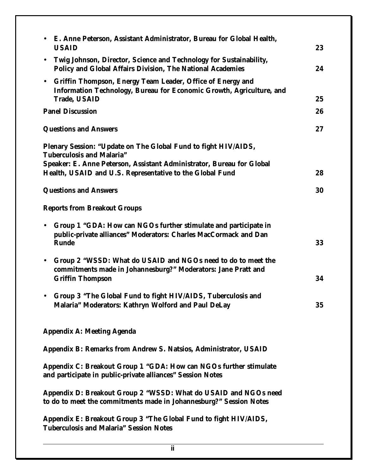| Twig Johnson, Director, Science and Technology for Sustainability,<br>$\bullet$<br><b>Policy and Global Affairs Division, The National Academies</b><br>24<br>• Griffin Thompson, Energy Team Leader, Office of Energy and<br>Information Technology, Bureau for Economic Growth, Agriculture, and<br><b>Trade, USAID</b><br>25<br><b>Panel Discussion</b><br>26<br><b>Questions and Answers</b><br>27<br>Plenary Session: "Update on The Global Fund to fight HIV/AIDS,<br><b>Tuberculosis and Malaria"</b><br>Speaker: E. Anne Peterson, Assistant Administrator, Bureau for Global<br>Health, USAID and U.S. Representative to the Global Fund<br>28<br><b>Questions and Answers</b><br>30<br><b>Reports from Breakout Groups</b><br>Group 1 "GDA: How can NGOs further stimulate and participate in<br>$\bullet$<br>public-private alliances" Moderators: Charles MacCormack and Dan<br><b>Runde</b><br>33<br>Group 2 "WSSD: What do USAID and NGOs need to do to meet the<br>$\bullet$<br>commitments made in Johannesburg?" Moderators: Jane Pratt and<br>34<br><b>Griffin Thompson</b><br>Group 3 "The Global Fund to fight HIV/AIDS, Tuberculosis and<br>Malaria" Moderators: Kathryn Wolford and Paul DeLay<br>35<br><b>Appendix A: Meeting Agenda</b><br>Appendix B: Remarks from Andrew S. Natsios, Administrator, USAID |
|-------------------------------------------------------------------------------------------------------------------------------------------------------------------------------------------------------------------------------------------------------------------------------------------------------------------------------------------------------------------------------------------------------------------------------------------------------------------------------------------------------------------------------------------------------------------------------------------------------------------------------------------------------------------------------------------------------------------------------------------------------------------------------------------------------------------------------------------------------------------------------------------------------------------------------------------------------------------------------------------------------------------------------------------------------------------------------------------------------------------------------------------------------------------------------------------------------------------------------------------------------------------------------------------------------------------------------------|
|                                                                                                                                                                                                                                                                                                                                                                                                                                                                                                                                                                                                                                                                                                                                                                                                                                                                                                                                                                                                                                                                                                                                                                                                                                                                                                                                     |
|                                                                                                                                                                                                                                                                                                                                                                                                                                                                                                                                                                                                                                                                                                                                                                                                                                                                                                                                                                                                                                                                                                                                                                                                                                                                                                                                     |
|                                                                                                                                                                                                                                                                                                                                                                                                                                                                                                                                                                                                                                                                                                                                                                                                                                                                                                                                                                                                                                                                                                                                                                                                                                                                                                                                     |
|                                                                                                                                                                                                                                                                                                                                                                                                                                                                                                                                                                                                                                                                                                                                                                                                                                                                                                                                                                                                                                                                                                                                                                                                                                                                                                                                     |
|                                                                                                                                                                                                                                                                                                                                                                                                                                                                                                                                                                                                                                                                                                                                                                                                                                                                                                                                                                                                                                                                                                                                                                                                                                                                                                                                     |
|                                                                                                                                                                                                                                                                                                                                                                                                                                                                                                                                                                                                                                                                                                                                                                                                                                                                                                                                                                                                                                                                                                                                                                                                                                                                                                                                     |
|                                                                                                                                                                                                                                                                                                                                                                                                                                                                                                                                                                                                                                                                                                                                                                                                                                                                                                                                                                                                                                                                                                                                                                                                                                                                                                                                     |
|                                                                                                                                                                                                                                                                                                                                                                                                                                                                                                                                                                                                                                                                                                                                                                                                                                                                                                                                                                                                                                                                                                                                                                                                                                                                                                                                     |
|                                                                                                                                                                                                                                                                                                                                                                                                                                                                                                                                                                                                                                                                                                                                                                                                                                                                                                                                                                                                                                                                                                                                                                                                                                                                                                                                     |
|                                                                                                                                                                                                                                                                                                                                                                                                                                                                                                                                                                                                                                                                                                                                                                                                                                                                                                                                                                                                                                                                                                                                                                                                                                                                                                                                     |
|                                                                                                                                                                                                                                                                                                                                                                                                                                                                                                                                                                                                                                                                                                                                                                                                                                                                                                                                                                                                                                                                                                                                                                                                                                                                                                                                     |
|                                                                                                                                                                                                                                                                                                                                                                                                                                                                                                                                                                                                                                                                                                                                                                                                                                                                                                                                                                                                                                                                                                                                                                                                                                                                                                                                     |
|                                                                                                                                                                                                                                                                                                                                                                                                                                                                                                                                                                                                                                                                                                                                                                                                                                                                                                                                                                                                                                                                                                                                                                                                                                                                                                                                     |
| Appendix C: Breakout Group 1 "GDA: How can NGOs further stimulate<br>and participate in public-private alliances" Session Notes                                                                                                                                                                                                                                                                                                                                                                                                                                                                                                                                                                                                                                                                                                                                                                                                                                                                                                                                                                                                                                                                                                                                                                                                     |
| Appendix D: Breakout Group 2 "WSSD: What do USAID and NGOs need<br>to do to meet the commitments made in Johannesburg?" Session Notes                                                                                                                                                                                                                                                                                                                                                                                                                                                                                                                                                                                                                                                                                                                                                                                                                                                                                                                                                                                                                                                                                                                                                                                               |
| Appendix E: Breakout Group 3 "The Global Fund to fight HIV/AIDS,<br><b>Tuberculosis and Malaria" Session Notes</b>                                                                                                                                                                                                                                                                                                                                                                                                                                                                                                                                                                                                                                                                                                                                                                                                                                                                                                                                                                                                                                                                                                                                                                                                                  |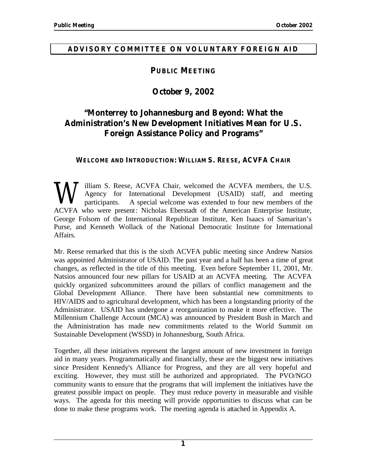#### **ADVISORY COMMITTEE ON VOLUNTARY FOREIGN AID**

#### **PUBLIC MEETING**

#### **October 9, 2002**

#### **"Monterrey to Johannesburg and Beyond: What the Administration's New Development Initiatives Mean for U.S. Foreign Assistance Policy and Programs"**

#### **WELCOME AND INTRODUCTION: WILLIAM S. REESE, ACVFA CHAIR**

W illiam S. Reese, ACVFA Chair, welcomed the ACVFA members, the U.S.<br>Agency for International Development (USAID) staff, and meeting<br>participants. A special welcome was extended to four new members of the<br>ACVFA who were pr Agency for International Development (USAID) staff, and meeting participants. A special welcome was extended to four new members of the ACVFA who were present: Nicholas Eberstadt of the American Enterprise Institute, George Folsom of the International Republican Institute, Ken Isaacs of Samaritan's Purse, and Kenneth Wollack of the National Democratic Institute for International Affairs.

Mr. Reese remarked that this is the sixth ACVFA public meeting since Andrew Natsios was appointed Administrator of USAID. The past year and a half has been a time of great changes, as reflected in the title of this meeting. Even before September 11, 2001, Mr. Natsios announced four new pillars for USAID at an ACVFA meeting. The ACVFA quickly organized subcommittees around the pillars of conflict management and the Global Development Alliance. There have been substantial new commitments to HIV/AIDS and to agricultural development, which has been a longstanding priority of the Administrator. USAID has undergone a reorganization to make it more effective. The Millennium Challenge Account (MCA) was announced by President Bush in March and the Administration has made new commitments related to the World Summit on Sustainable Development (WSSD) in Johannesburg, South Africa.

Together, all these initiatives represent the largest amount of new investment in foreign aid in many years. Programmatically and financially, these are the biggest new initiatives since President Kennedy's Alliance for Progress, and they are all very hopeful and exciting. However, they must still be authorized and appropriated. The PVO/NGO community wants to ensure that the programs that will implement the initiatives have the greatest possible impact on people. They must reduce poverty in measurable and visible ways. The agenda for this meeting will provide opportunities to discuss what can be done to make these programs work. The meeting agenda is attached in Appendix A.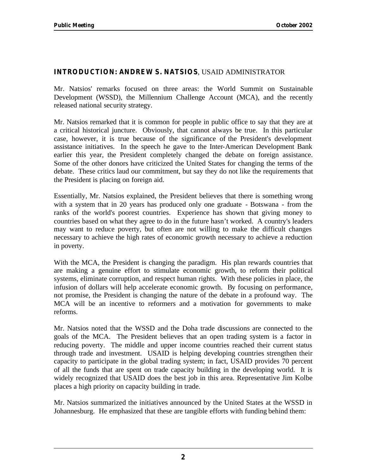#### **INTRODUCTION: ANDREW S. NATSIOS**, USAID ADMINISTRATOR

Mr. Natsios' remarks focused on three areas: the World Summit on Sustainable Development (WSSD), the Millennium Challenge Account (MCA), and the recently released national security strategy.

Mr. Natsios remarked that it is common for people in public office to say that they are at a critical historical juncture. Obviously, that cannot always be true. In this particular case, however, it is true because of the significance of the President's development assistance initiatives. In the speech he gave to the Inter-American Development Bank earlier this year, the President completely changed the debate on foreign assistance. Some of the other donors have criticized the United States for changing the terms of the debate. These critics laud our commitment, but say they do not like the requirements that the President is placing on foreign aid.

Essentially, Mr. Natsios explained, the President believes that there is something wrong with a system that in 20 years has produced only one graduate - Botswana - from the ranks of the world's poorest countries. Experience has shown that giving money to countries based on what they agree to do in the future hasn't worked. A country's leaders may want to reduce poverty, but often are not willing to make the difficult changes necessary to achieve the high rates of economic growth necessary to achieve a reduction in poverty.

With the MCA, the President is changing the paradigm. His plan rewards countries that are making a genuine effort to stimulate economic growth, to reform their political systems, eliminate corruption, and respect human rights. With these policies in place, the infusion of dollars will help accelerate economic growth. By focusing on performance, not promise, the President is changing the nature of the debate in a profound way. The MCA will be an incentive to reformers and a motivation for governments to make reforms.

Mr. Natsios noted that the WSSD and the Doha trade discussions are connected to the goals of the MCA. The President believes that an open trading system is a factor in reducing poverty. The middle and upper income countries reached their current status through trade and investment. USAID is helping developing countries strengthen their capacity to participate in the global trading system; in fact, USAID provides 70 percent of all the funds that are spent on trade capacity building in the developing world. It is widely recognized that USAID does the best job in this area. Representative Jim Kolbe places a high priority on capacity building in trade.

Mr. Natsios summarized the initiatives announced by the United States at the WSSD in Johannesburg. He emphasized that these are tangible efforts with funding behind them: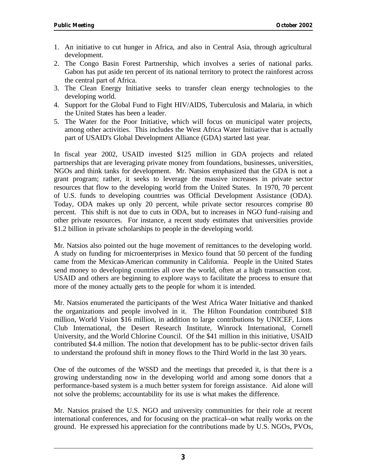- 1. An initiative to cut hunger in Africa, and also in Central Asia, through agricultural development.
- 2. The Congo Basin Forest Partnership, which involves a series of national parks. Gabon has put aside ten percent of its national territory to protect the rainforest across the central part of Africa.
- 3. The Clean Energy Initiative seeks to transfer clean energy technologies to the developing world.
- 4. Support for the Global Fund to Fight HIV/AIDS, Tuberculosis and Malaria, in which the United States has been a leader.
- 5. The Water for the Poor Initiative, which will focus on municipal water projects, among other activities. This includes the West Africa Water Initiative that is actually part of USAID's Global Development Alliance (GDA) started last year.

In fiscal year 2002, USAID invested \$125 million in GDA projects and related partnerships that are leveraging private money from foundations, businesses, universities, NGOs and think tanks for development. Mr. Natsios emphasized that the GDA is not a grant program; rather, it seeks to leverage the massive increases in private sector resources that flow to the developing world from the United States. In 1970, 70 percent of U.S. funds to developing countries was Official Development Assistance (ODA). Today, ODA makes up only 20 percent, while private sector resources comprise 80 percent. This shift is not due to cuts in ODA, but to increases in NGO fund-raising and other private resources. For instance, a recent study estimates that universities provide \$1.2 billion in private scholarships to people in the developing world.

Mr. Natsios also pointed out the huge movement of remittances to the developing world. A study on funding for microenterprises in Mexico found that 50 percent of the funding came from the Mexican-American community in California. People in the United States send money to developing countries all over the world, often at a high transaction cost. USAID and others are beginning to explore ways to facilitate the process to ensure that more of the money actually gets to the people for whom it is intended.

Mr. Natsios enumerated the participants of the West Africa Water Initiative and thanked the organizations and people involved in it. The Hilton Foundation contributed \$18 million, World Vision \$16 million, in addition to large contributions by UNICEF, Lions Club International, the Desert Research Institute, Winrock International, Cornell University, and the World Chlorine Council. Of the \$41 million in this initiative, USAID contributed \$4.4 million. The notion that development has to be public-sector driven fails to understand the profound shift in money flows to the Third World in the last 30 years.

One of the outcomes of the WSSD and the meetings that preceded it, is that the re is a growing understanding now in the developing world and among some donors that a performance-based system is a much better system for foreign assistance. Aid alone will not solve the problems; accountability for its use is what makes the difference.

Mr. Natsios praised the U.S. NGO and university communities for their role at recent international conferences, and for focusing on the practical--on what really works on the ground. He expressed his appreciation for the contributions made by U.S. NGOs, PVOs,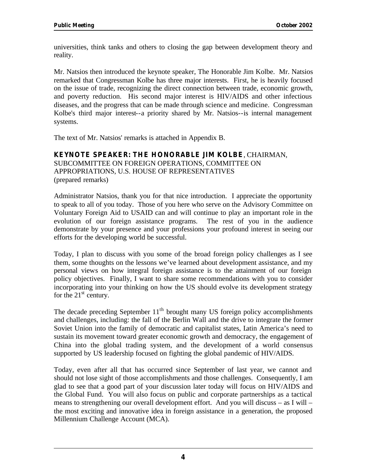universities, think tanks and others to closing the gap between development theory and reality.

Mr. Natsios then introduced the keynote speaker, The Honorable Jim Kolbe. Mr. Natsios remarked that Congressman Kolbe has three major interests. First, he is heavily focused on the issue of trade, recognizing the direct connection between trade, economic growth, and poverty reduction. His second major interest is HIV/AIDS and other infectious diseases, and the progress that can be made through science and medicine. Congressman Kolbe's third major interest--a priority shared by Mr. Natsios--is internal management systems.

The text of Mr. Natsios' remarks is attached in Appendix B.

#### **KEYNOTE SPEAKER: THE HONORABLE JIM KOLBE**, CHAIRMAN,

SUBCOMMITTEE ON FOREIGN OPERATIONS, COMMITTEE ON APPROPRIATIONS, U.S. HOUSE OF REPRESENTATIVES (prepared remarks)

Administrator Natsios, thank you for that nice introduction. I appreciate the opportunity to speak to all of you today. Those of you here who serve on the Advisory Committee on Voluntary Foreign Aid to USAID can and will continue to play an important role in the evolution of our foreign assistance programs. The rest of you in the audience demonstrate by your presence and your professions your profound interest in seeing our efforts for the developing world be successful.

Today, I plan to discuss with you some of the broad foreign policy challenges as I see them, some thoughts on the lessons we've learned about development assistance, and my personal views on how integral foreign assistance is to the attainment of our foreign policy objectives. Finally, I want to share some recommendations with you to consider incorporating into your thinking on how the US should evolve its development strategy for the  $21<sup>st</sup>$  century.

The decade preceding September  $11<sup>th</sup>$  brought many US foreign policy accomplishments and challenges, including: the fall of the Berlin Wall and the drive to integrate the former Soviet Union into the family of democratic and capitalist states, Latin America's need to sustain its movement toward greater economic growth and democracy, the engagement of China into the global trading system, and the development of a world consensus supported by US leadership focused on fighting the global pandemic of HIV/AIDS.

Today, even after all that has occurred since September of last year, we cannot and should not lose sight of those accomplishments and those challenges. Consequently, I am glad to see that a good part of your discussion later today will focus on HIV/AIDS and the Global Fund. You will also focus on public and corporate partnerships as a tactical means to strengthening our overall development effort. And you will discuss – as I will – the most exciting and innovative idea in foreign assistance in a generation, the proposed Millennium Challenge Account (MCA).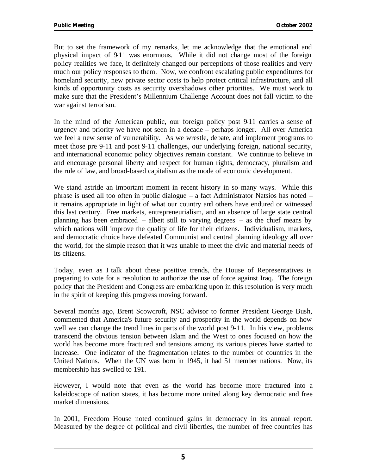But to set the framework of my remarks, let me acknowledge that the emotional and physical impact of 9-11 was enormous. While it did not change most of the foreign policy realities we face, it definitely changed our perceptions of those realities and very much our policy responses to them. Now, we confront escalating public expenditures for homeland security, new private sector costs to help protect critical infrastructure, and all kinds of opportunity costs as security overshadows other priorities. We must work to make sure that the President's Millennium Challenge Account does not fall victim to the war against terrorism.

In the mind of the American public, our foreign policy post 9-11 carries a sense of urgency and priority we have not seen in a decade – perhaps longer. All over America we feel a new sense of vulnerability. As we wrestle, debate, and implement programs to meet those pre 9-11 and post 9-11 challenges, our underlying foreign, national security, and international economic policy objectives remain constant. We continue to believe in and encourage personal liberty and respect for human rights, democracy, pluralism and the rule of law, and broad-based capitalism as the mode of economic development.

We stand astride an important moment in recent history in so many ways. While this phrase is used all too often in public dialogue – a fact Administrator Natsios has noted – it remains appropriate in light of what our country and others have endured or witnessed this last century. Free markets, entrepreneurialism, and an absence of large state central planning has been embraced – albeit still to varying degrees – as the chief means by which nations will improve the quality of life for their citizens. Individualism, markets, and democratic choice have defeated Communist and central planning ideology all over the world, for the simple reason that it was unable to meet the civic and material needs of its citizens.

Today, even as I talk about these positive trends, the House of Representatives is preparing to vote for a resolution to authorize the use of force against Iraq. The foreign policy that the President and Congress are embarking upon in this resolution is very much in the spirit of keeping this progress moving forward.

Several months ago, Brent Scowcroft, NSC advisor to former President George Bush, commented that America's future security and prosperity in the world depends on how well we can change the trend lines in parts of the world post 9-11. In his view, problems transcend the obvious tension between Islam and the West to ones focused on how the world has become more fractured and tensions among its various pieces have started to increase. One indicator of the fragmentation relates to the number of countries in the United Nations. When the UN was born in 1945, it had 51 member nations. Now, its membership has swelled to 191.

However, I would note that even as the world has become more fractured into a kaleidoscope of nation states, it has become more united along key democratic and free market dimensions.

In 2001, Freedom House noted continued gains in democracy in its annual report. Measured by the degree of political and civil liberties, the number of free countries has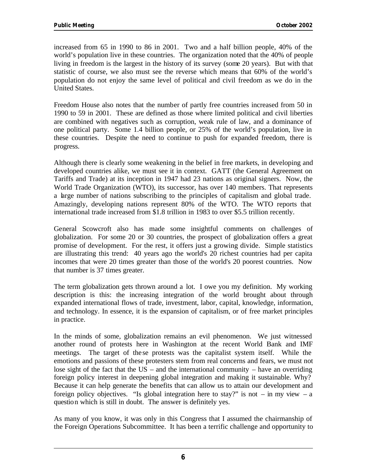increased from 65 in 1990 to 86 in 2001. Two and a half billion people, 40% of the world's population live in these countries. The organization noted that the 40% of people living in freedom is the largest in the history of its survey (some 20 years). But with that statistic of course, we also must see the reverse which means that 60% of the world's population do not enjoy the same level of political and civil freedom as we do in the United States.

Freedom House also notes that the number of partly free countries increased from 50 in 1990 to 59 in 2001. These are defined as those where limited political and civil liberties are combined with negatives such as corruption, weak rule of law, and a dominance of one political party. Some 1.4 billion people, or 25% of the world's population, live in these countries. Despite the need to continue to push for expanded freedom, there is progress.

Although there is clearly some weakening in the belief in free markets, in developing and developed countries alike, we must see it in context. GATT (the General Agreement on Tariffs and Trade) at its inception in 1947 had 23 nations as original signers. Now, the World Trade Organization (WTO), its successor, has over 140 members. That represents a large number of nations subscribing to the principles of capitalism and global trade. Amazingly, developing nations represent 80% of the WTO. The WTO reports that international trade increased from \$1.8 trillion in 1983 to over \$5.5 trillion recently.

General Scowcroft also has made some insightful comments on challenges of globalization. For some 20 or 30 countries, the prospect of globalization offers a great promise of development. For the rest, it offers just a growing divide. Simple statistics are illustrating this trend: 40 years ago the world's 20 richest countries had per capita incomes that were 20 times greater than those of the world's 20 poorest countries. Now that number is 37 times greater.

The term globalization gets thrown around a lot. I owe you my definition. My working description is this: the increasing integration of the world brought about through expanded international flows of trade, investment, labor, capital, knowledge, information, and technology. In essence, it is the expansion of capitalism, or of free market principles in practice.

In the minds of some, globalization remains an evil phenomenon. We just witnessed another round of protests here in Washington at the recent World Bank and IMF meetings. The target of the se protests was the capitalist system itself. While the emotions and passions of these protesters stem from real concerns and fears, we must not lose sight of the fact that the US – and the international community – have an overriding foreign policy interest in deepening global integration and making it sustainable. Why? Because it can help generate the benefits that can allow us to attain our development and foreign policy objectives. "Is global integration here to stay?" is not – in my view – a question which is still in doubt. The answer is definitely yes.

As many of you know, it was only in this Congress that I assumed the chairmanship of the Foreign Operations Subcommittee. It has been a terrific challenge and opportunity to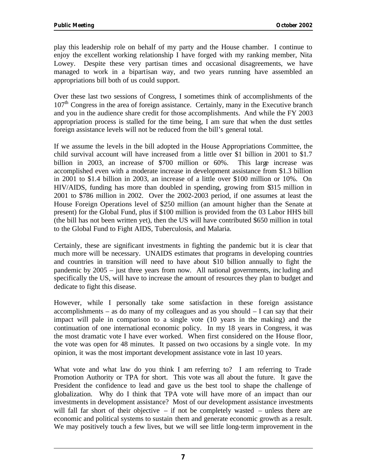play this leadership role on behalf of my party and the House chamber. I continue to enjoy the excellent working relationship I have forged with my ranking member, Nita Lowey. Despite these very partisan times and occasional disagreements, we have managed to work in a bipartisan way, and two years running have assembled an appropriations bill both of us could support.

Over these last two sessions of Congress, I sometimes think of accomplishments of the  $107<sup>th</sup>$  Congress in the area of foreign assistance. Certainly, many in the Executive branch and you in the audience share credit for those accomplishments. And while the FY 2003 appropriation process is stalled for the time being, I am sure that when the dust settles foreign assistance levels will not be reduced from the bill's general total.

If we assume the levels in the bill adopted in the House Appropriations Committee, the child survival account will have increased from a little over \$1 billion in 2001 to \$1.7 billion in 2003, an increase of \$700 million or 60%. This large increase was accomplished even with a moderate increase in development assistance from \$1.3 billion in 2001 to \$1.4 billion in 2003, an increase of a little over \$100 million or 10%. On HIV/AIDS, funding has more than doubled in spending, growing from \$315 million in 2001 to \$786 million in 2002. Over the 2002-2003 period, if one assumes at least the House Foreign Operations level of \$250 million (an amount higher than the Senate at present) for the Global Fund, plus if \$100 million is provided from the 03 Labor HHS bill (the bill has not been written yet), then the US will have contributed \$650 million in total to the Global Fund to Fight AIDS, Tuberculosis, and Malaria.

Certainly, these are significant investments in fighting the pandemic but it is clear that much more will be necessary. UNAIDS estimates that programs in developing countries and countries in transition will need to have about \$10 billion annually to fight the pandemic by 2005 – just three years from now. All national governments, including and specifically the US, will have to increase the amount of resources they plan to budget and dedicate to fight this disease.

However, while I personally take some satisfaction in these foreign assistance accomplishments – as do many of my colleagues and as you should  $- I$  can say that their impact will pale in comparison to a single vote (10 years in the making) and the continuation of one international economic policy. In my 18 years in Congress, it was the most dramatic vote I have ever worked. When first considered on the House floor, the vote was open for 48 minutes. It passed on two occasions by a single vote. In my opinion, it was the most important development assistance vote in last 10 years.

What vote and what law do you think I am referring to? I am referring to Trade Promotion Authority or TPA for short. This vote was all about the future. It gave the President the confidence to lead and gave us the best tool to shape the challenge of globalization. Why do I think that TPA vote will have more of an impact than our investments in development assistance? Most of our development assistance investments will fall far short of their objective  $-$  if not be completely wasted  $-$  unless there are economic and political systems to sustain them and generate economic growth as a result. We may positively touch a few lives, but we will see little long-term improvement in the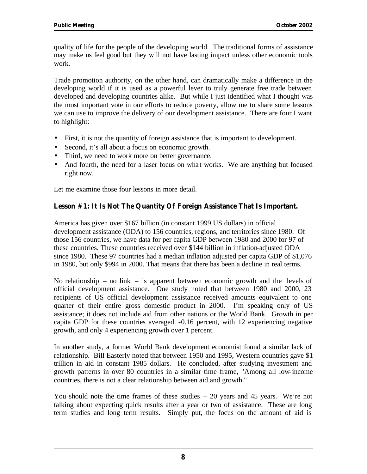quality of life for the people of the developing world. The traditional forms of assistance may make us feel good but they will not have lasting impact unless other economic tools work.

Trade promotion authority, on the other hand, can dramatically make a difference in the developing world if it is used as a powerful lever to truly generate free trade between developed and developing countries alike. But while I just identified what I thought was the most important vote in our efforts to reduce poverty, allow me to share some lessons we can use to improve the delivery of our development assistance. There are four I want to highlight:

- First, it is not the quantity of foreign assistance that is important to development.
- Second, it's all about a focus on economic growth.
- Third, we need to work more on better governance.
- And fourth, the need for a laser focus on what works. We are anything but focused right now.

Let me examine those four lessons in more detail.

#### **Lesson #1: It Is Not The Quantity Of Foreign Assistance That Is Important.**

America has given over \$167 billion (in constant 1999 US dollars) in official development assistance (ODA) to 156 countries, regions, and territories since 1980. Of those 156 countries, we have data for per capita GDP between 1980 and 2000 for 97 of these countries. These countries received over \$144 billion in inflation-adjusted ODA since 1980. These 97 countries had a median inflation adjusted per capita GDP of \$1,076 in 1980, but only \$994 in 2000. That means that there has been a decline in real terms.

No relationship – no link – is apparent between economic growth and the levels of official development assistance. One study noted that between 1980 and 2000, 23 recipients of US official development assistance received amounts equivalent to one quarter of their entire gross domestic product in 2000. I'm speaking only of US assistance; it does not include aid from other nations or the World Bank. Growth in per capita GDP for these countries averaged -0.16 percent, with 12 experiencing negative growth, and only 4 experiencing growth over 1 percent.

In another study, a former World Bank development economist found a similar lack of relationship. Bill Easterly noted that between 1950 and 1995, Western countries gave \$1 trillion in aid in constant 1985 dollars. He concluded, after studying investment and growth patterns in over 80 countries in a similar time frame, "Among all low-income countries, there is not a clear relationship between aid and growth."

You should note the time frames of these studies – 20 years and 45 years. We're not talking about expecting quick results after a year or two of assistance. These are long term studies and long term results. Simply put, the focus on the amount of aid is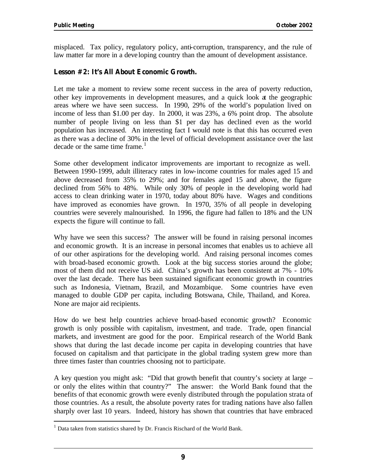misplaced. Tax policy, regulatory policy, anti-corruption, transparency, and the rule of law matter far more in a developing country than the amount of development assistance.

#### **Lesson #2: It's All About Economic Growth.**

Let me take a moment to review some recent success in the area of poverty reduction, other key improvements in development measures, and a quick look at the geographic areas where we have seen success. In 1990, 29% of the world's population lived on income of less than \$1.00 per day. In 2000, it was 23%, a 6% point drop. The absolute number of people living on less than \$1 per day has declined even as the world population has increased. An interesting fact I would note is that this has occurred even as there was a decline of 30% in the level of official development assistance over the last decade or the same time frame. $<sup>1</sup>$ </sup>

Some other development indicator improvements are important to recognize as well. Between 1990-1999, adult illiteracy rates in low-income countries for males aged 15 and above decreased from 35% to 29%; and for females aged 15 and above, the figure declined from 56% to 48%. While only 30% of people in the developing world had access to clean drinking water in 1970, today about 80% have. Wages and conditions have improved as economies have grown. In 1970, 35% of all people in developing countries were severely malnourished. In 1996, the figure had fallen to 18% and the UN expects the figure will continue to fall.

Why have we seen this success? The answer will be found in raising personal incomes and economic growth. It is an increase in personal incomes that enables us to achieve all of our other aspirations for the developing world. And raising personal incomes comes with broad-based economic growth. Look at the big success stories around the globe; most of them did not receive US aid. China's growth has been consistent at 7% - 10% over the last decade. There has been sustained significant economic growth in countries such as Indonesia, Vietnam, Brazil, and Mozambique. Some countries have even managed to double GDP per capita, including Botswana, Chile, Thailand, and Korea. None are major aid recipients.

How do we best help countries achieve broad-based economic growth? Economic growth is only possible with capitalism, investment, and trade. Trade, open financial markets, and investment are good for the poor. Empirical research of the World Bank shows that during the last decade income per capita in developing countries that have focused on capitalism and that participate in the global trading system grew more than three times faster than countries choosing not to participate.

A key question you might ask: "Did that growth benefit that country's society at large – or only the elites within that country?" The answer: the World Bank found that the benefits of that economic growth were evenly distributed through the population strata of those countries. As a result, the absolute poverty rates for trading nations have also fallen sharply over last 10 years. Indeed, history has shown that countries that have embraced

<sup>&</sup>lt;sup>1</sup> Data taken from statistics shared by Dr. Francis Rischard of the World Bank.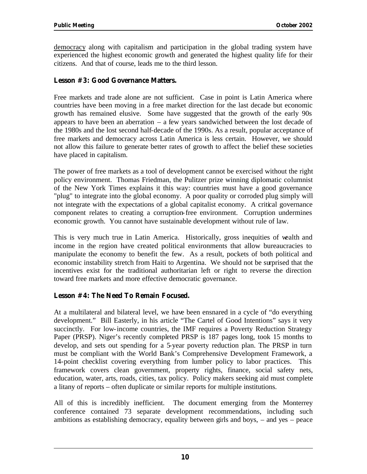democracy along with capitalism and participation in the global trading system have experienced the highest economic growth and generated the highest quality life for their citizens. And that of course, leads me to the third lesson.

#### **Lesson #3: Good Governance Matters.**

Free markets and trade alone are not sufficient. Case in point is Latin America where countries have been moving in a free market direction for the last decade but economic growth has remained elusive. Some have suggested that the growth of the early 90s appears to have been an aberration  $-$  a few years sandwiched between the lost decade of the 1980s and the lost second half-decade of the 1990s. As a result, popular acceptance of free markets and democracy across Latin America is less certain. However, we should not allow this failure to generate better rates of growth to affect the belief these societies have placed in capitalism.

The power of free markets as a tool of development cannot be exercised without the right policy environment. Thomas Friedman, the Pulitzer prize winning diplomatic columnist of the New York Times explains it this way: countries must have a good governance "plug" to integrate into the global economy. A poor quality or corroded plug simply will not integrate with the expectations of a global capitalist economy. A critical governance component relates to creating a corruption-free environment. Corruption undermines economic growth. You cannot have sustainable development without rule of law.

This is very much true in Latin America. Historically, gross inequities of wealth and income in the region have created political environments that allow bureaucracies to manipulate the economy to benefit the few. As a result, pockets of both political and economic instability stretch from Haiti to Argentina. We should not be surprised that the incentives exist for the traditional authoritarian left or right to reverse the direction toward free markets and more effective democratic governance.

#### **Lesson #4: The Need To Remain Focused.**

At a multilateral and bilateral level, we have been ensnared in a cycle of "do everything development." Bill Easterly, in his article "The Cartel of Good Intentions" says it very succinctly. For low-income countries, the IMF requires a Poverty Reduction Strategy Paper (PRSP). Niger's recently completed PRSP is 187 pages long, took 15 months to develop, and sets out spending for a 5-year poverty reduction plan. The PRSP in turn must be compliant with the World Bank's Comprehensive Development Framework, a 14-point checklist covering everything from lumber policy to labor practices. This framework covers clean government, property rights, finance, social safety nets, education, water, arts, roads, cities, tax policy. Policy makers seeking aid must complete a litany of reports – often duplicate or similar reports for multiple institutions.

All of this is incredibly inefficient. The document emerging from the Monterrey conference contained 73 separate development recommendations, including such ambitions as establishing democracy, equality between girls and boys, – and yes – peace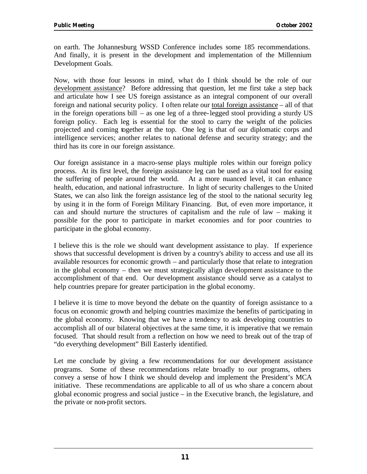on earth. The Johannesburg WSSD Conference includes some 185 recommendations. And finally, it is present in the development and implementation of the Millennium Development Goals.

Now, with those four lessons in mind, wha t do I think should be the role of our development assistance? Before addressing that question, let me first take a step back and articulate how I see US foreign assistance as an integral component of our overall foreign and national security policy. I often relate our total foreign assistance – all of that in the foreign operations bill – as one leg of a three-legged stool providing a sturdy US foreign policy. Each leg is essential for the stool to carry the weight of the policies projected and coming together at the top. One leg is that of our diplomatic corps and intelligence services; another relates to national defense and security strategy; and the third has its core in our foreign assistance.

Our foreign assistance in a macro-sense plays multiple roles within our foreign policy process. At its first level, the foreign assistance leg can be used as a vital tool for easing the suffering of people around the world. At a more nuanced level, it can enhance health, education, and national infrastructure. In light of security challenges to the United States, we can also link the foreign assistance leg of the stool to the national security leg by using it in the form of Foreign Military Financing. But, of even more importance, it can and should nurture the structures of capitalism and the rule of law – making it possible for the poor to participate in market economies and for poor countries to participate in the global economy.

I believe this is the role we should want development assistance to play. If experience shows that successful development is driven by a country's ability to access and use all its available resources for economic growth – and particularly those that relate to integration in the global economy – then we must strategically align development assistance to the accomplishment of that end. Our development assistance should serve as a catalyst to help countries prepare for greater participation in the global economy.

I believe it is time to move beyond the debate on the quantity of foreign assistance to a focus on economic growth and helping countries maximize the benefits of participating in the global economy. Knowing that we have a tendency to ask developing countries to accomplish all of our bilateral objectives at the same time, it is imperative that we remain focused. That should result from a reflection on how we need to break out of the trap of "do everything development" Bill Easterly identified.

Let me conclude by giving a few recommendations for our development assistance programs. Some of these recommendations relate broadly to our programs, others convey a sense of how I think we should develop and implement the President's MCA initiative. These recommendations are applicable to all of us who share a concern about global economic progress and social justice – in the Executive branch, the legislature, and the private or non-profit sectors.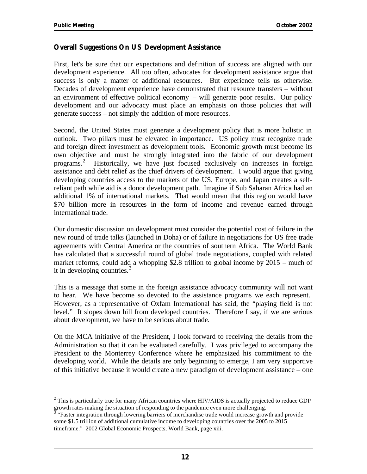#### **Overall Suggestions On US Development Assistance**

First, let's be sure that our expectations and definition of success are aligned with our development experience. All too often, advocates for development assistance argue that success is only a matter of additional resources. But experience tells us otherwise. Decades of development experience have demonstrated that resource transfers – without an environment of effective political economy – will generate poor results. Our policy development and our advocacy must place an emphasis on those policies that will generate success – not simply the addition of more resources.

Second, the United States must generate a development policy that is more holistic in outlook. Two pillars must be elevated in importance. US policy must recognize trade and foreign direct investment as development tools. Economic growth must become its own objective and must be strongly integrated into the fabric of our development programs.2 Historically, we have just focused exclusively on increases in foreign assistance and debt relief as the chief drivers of development. I would argue that giving developing countries access to the markets of the US, Europe, and Japan creates a selfreliant path while aid is a donor development path. Imagine if Sub Saharan Africa had an additional 1% of international markets. That would mean that this region would have \$70 billion more in resources in the form of income and revenue earned through international trade.

Our domestic discussion on development must consider the potential cost of failure in the new round of trade talks (launched in Doha) or of failure in negotiations for US free trade agreements with Central America or the countries of southern Africa. The World Bank has calculated that a successful round of global trade negotiations, coupled with related market reforms, could add a whopping \$2.8 trillion to global income by 2015 – much of it in developing countries.<sup>3</sup>

This is a message that some in the foreign assistance advocacy community will not want to hear. We have become so devoted to the assistance programs we each represent. However, as a representative of Oxfam International has said, the "playing field is not level." It slopes down hill from developed countries. Therefore I say, if we are serious about development, we have to be serious about trade.

On the MCA initiative of the President, I look forward to receiving the details from the Administration so that it can be evaluated carefully. I was privileged to accompany the President to the Monterrey Conference where he emphasized his commitment to the developing world. While the details are only beginning to emerge, I am very supportive of this initiative because it would create a new paradigm of development assistance – one

 $2$  This is particularly true for many African countries where HIV/AIDS is actually projected to reduce GDP growth rates making the situation of responding to the pandemic even more challenging.<br><sup>3</sup> "Faster integration through lowering barriers of merchandise trade would increase growth and provide

some \$1.5 trillion of additional cumulative income to developing countries over the 2005 to 2015 timeframe." 2002 Global Economic Prospects, World Bank, page xiii.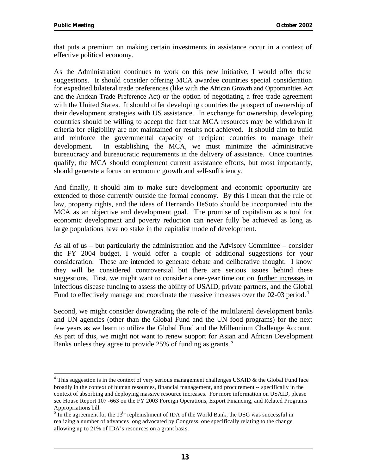that puts a premium on making certain investments in assistance occur in a context of effective political economy.

As the Administration continues to work on this new initiative, I would offer these suggestions. It should consider offering MCA awardee countries special consideration for expedited bilateral trade preferences (like with the African Growth and Opportunities Act and the Andean Trade Preference Act) or the option of negotiating a free trade agreement with the United States. It should offer developing countries the prospect of ownership of their development strategies with US assistance. In exchange for ownership, developing countries should be willing to accept the fact that MCA resources may be withdrawn if criteria for eligibility are not maintained or results not achieved. It should aim to build and reinforce the governmental capacity of recipient countries to manage their development. In establishing the MCA, we must minimize the administrative bureaucracy and bureaucratic requirements in the delivery of assistance. Once countries qualify, the MCA should complement current assistance efforts, but most importantly, should generate a focus on economic growth and self-sufficiency.

And finally, it should aim to make sure development and economic opportunity are extended to those currently outside the formal economy. By this I mean that the rule of law, property rights, and the ideas of Hernando DeSoto should be incorporated into the MCA as an objective and development goal. The promise of capitalism as a tool for economic development and poverty reduction can never fully be achieved as long as large populations have no stake in the capitalist mode of development.

As all of us – but particularly the administration and the Advisory Committee – consider the FY 2004 budget, I would offer a couple of additional suggestions for your consideration. These are intended to generate debate and deliberative thought. I know they will be considered controversial but there are serious issues behind these suggestions. First, we might want to consider a one-year time out on further increases in infectious disease funding to assess the ability of USAID, private partners, and the Global Fund to effectively manage and coordinate the massive increases over the  $02$ -03 period.<sup>4</sup>

Second, we might consider downgrading the role of the multilateral development banks and UN agencies (other than the Global Fund and the UN food programs) for the next few years as we learn to utilize the Global Fund and the Millennium Challenge Account. As part of this, we might not want to renew support for Asian and African Development Banks unless they agree to provide 25% of funding as grants.<sup>5</sup>

 $4$  This suggestion is in the context of very serious management challenges USAID & the Global Fund face broadly in the context of human resources, financial management, and procurement -- specifically in the context of absorbing and deploying massive resource increases. For more information on USAID, please see House Report 107 -663 on the FY 2003 Foreign Operations, Export Financing, and Related Programs

Appropriations bill.<br><sup>5</sup> In the agreement for the 13<sup>th</sup> replenishment of IDA of the World Bank, the USG was successful in realizing a number of advances long advocated by Congress, one specifically relating to the change allowing up to 21% of IDA's resources on a grant basis.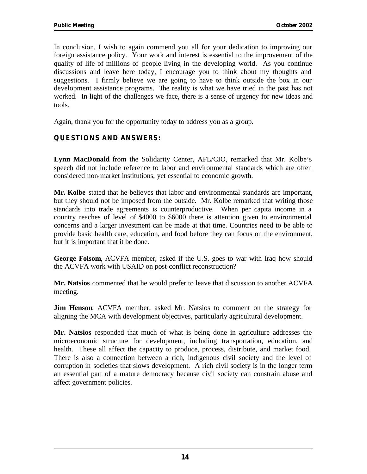In conclusion, I wish to again commend you all for your dedication to improving our foreign assistance policy. Your work and interest is essential to the improvement of the quality of life of millions of people living in the developing world. As you continue discussions and leave here today, I encourage you to think about my thoughts and suggestions. I firmly believe we are going to have to think outside the box in our development assistance programs. The reality is what we have tried in the past has not worked. In light of the challenges we face, there is a sense of urgency for new ideas and tools.

Again, thank you for the opportunity today to address you as a group.

#### **QUESTIONS AND ANSWERS:**

**Lynn MacDonald** from the Solidarity Center, AFL/CIO, remarked that Mr. Kolbe's speech did not include reference to labor and environmental standards which are often considered non-market institutions, yet essential to economic growth.

**Mr. Kolbe** stated that he believes that labor and environmental standards are important, but they should not be imposed from the outside. Mr. Kolbe remarked that writing those standards into trade agreements is counterproductive. When per capita income in a country reaches of level of \$4000 to \$6000 there is attention given to environmental concerns and a larger investment can be made at that time. Countries need to be able to provide basic health care, education, and food before they can focus on the environment, but it is important that it be done.

**George Folsom**, ACVFA member, asked if the U.S. goes to war with Iraq how should the ACVFA work with USAID on post-conflict reconstruction?

**Mr. Natsios** commented that he would prefer to leave that discussion to another ACVFA meeting.

**Jim Henson**, ACVFA member, asked Mr. Natsios to comment on the strategy for aligning the MCA with development objectives, particularly agricultural development.

**Mr. Natsios** responded that much of what is being done in agriculture addresses the microeconomic structure for development, including transportation, education, and health. These all affect the capacity to produce, process, distribute, and market food. There is also a connection between a rich, indigenous civil society and the level of corruption in societies that slows development. A rich civil society is in the longer term an essential part of a mature democracy because civil society can constrain abuse and affect government policies.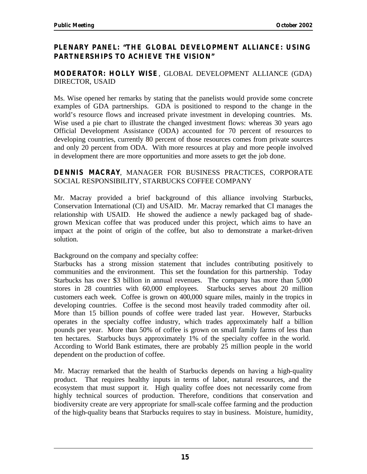#### **PLENARY PANEL: "THE GLOBAL DEVELOPMENT ALLIANCE: USING PARTNERSHIPS TO ACHIEVE THE VISION"**

#### **MODERATOR: HOLLY WISE**, GLOBAL DEVELOPMENT ALLIANCE (GDA) DIRECTOR, USAID

Ms. Wise opened her remarks by stating that the panelists would provide some concrete examples of GDA partnerships. GDA is positioned to respond to the change in the world's resource flows and increased private investment in developing countries. Ms. Wise used a pie chart to illustrate the changed investment flows: whereas 30 years ago Official Development Assistance (ODA) accounted for 70 percent of resources to developing countries, currently 80 percent of those resources comes from private sources and only 20 percent from ODA. With more resources at play and more people involved in development there are more opportunities and more assets to get the job done.

#### **DENNIS MACRAY**, MANAGER FOR BUSINESS PRACTICES, CORPORATE SOCIAL RESPONSIBILITY, STARBUCKS COFFEE COMPANY

Mr. Macray provided a brief background of this alliance involving Starbucks, Conservation International (CI) and USAID. Mr. Macray remarked that CI manages the relationship with USAID. He showed the audience a newly packaged bag of shadegrown Mexican coffee that was produced under this project, which aims to have an impact at the point of origin of the coffee, but also to demonstrate a market-driven solution.

Background on the company and specialty coffee:

Starbucks has a strong mission statement that includes contributing positively to communities and the environment. This set the foundation for this partnership. Today Starbucks has over \$3 billion in annual revenues. The company has more than 5,000 stores in 28 countries with 60,000 employees. Starbucks serves about 20 million customers each week. Coffee is grown on 400,000 square miles, mainly in the tropics in developing countries. Coffee is the second most heavily traded commodity after oil. More than 15 billion pounds of coffee were traded last year. However, Starbucks operates in the specialty coffee industry, which trades approximately half a billion pounds per year. More than 50% of coffee is grown on small family farms of less than ten hectares. Starbucks buys approximately 1% of the specialty coffee in the world. According to World Bank estimates, there are probably 25 million people in the world dependent on the production of coffee.

Mr. Macray remarked that the health of Starbucks depends on having a high-quality product. That requires healthy inputs in terms of labor, natural resources, and the ecosystem that must support it. High quality coffee does not necessarily come from highly technical sources of production. Therefore, conditions that conservation and biodiversity create are very appropriate for small-scale coffee farming and the production of the high-quality beans that Starbucks requires to stay in business. Moisture, humidity,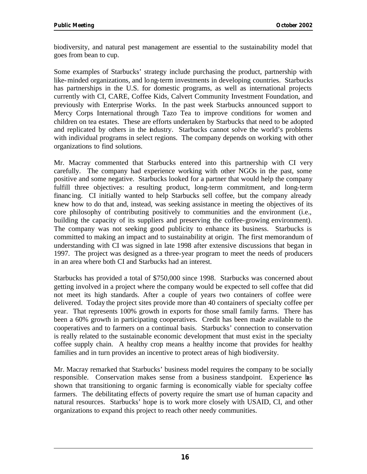biodiversity, and natural pest management are essential to the sustainability model that goes from bean to cup.

Some examples of Starbucks' strategy include purchasing the product, partnership with like-minded organizations, and long-term investments in developing countries. Starbucks has partnerships in the U.S. for domestic programs, as well as international projects currently with CI, CARE, Coffee Kids, Calvert Community Investment Foundation, and previously with Enterprise Works. In the past week Starbucks announced support to Mercy Corps International through Tazo Tea to improve conditions for women and children on tea estates. These are efforts undertaken by Starbucks that need to be adopted and replicated by others in the industry. Starbucks cannot solve the world's problems with individual programs in select regions. The company depends on working with other organizations to find solutions.

Mr. Macray commented that Starbucks entered into this partnership with CI very carefully. The company had experience working with other NGOs in the past, some positive and some negative. Starbucks looked for a partner that would help the company fulfill three objectives: a resulting product, long-term commitment, and long-term financing. CI initially wanted to help Starbucks sell coffee, but the company already knew how to do that and, instead, was seeking assistance in meeting the objectives of its core philosophy of contributing positively to communities and the environment (i.e., building the capacity of its suppliers and preserving the coffee-growing environment). The company was not seeking good publicity to enhance its business. Starbucks is committed to making an impact and to sustainability at origin. The first memorandum of understanding with CI was signed in late 1998 after extensive discussions that began in 1997. The project was designed as a three-year program to meet the needs of producers in an area where both CI and Starbucks had an interest.

Starbucks has provided a total of \$750,000 since 1998. Starbucks was concerned about getting involved in a project where the company would be expected to sell coffee that did not meet its high standards. After a couple of years two containers of coffee were delivered. Today the project sites provide more than 40 containers of specialty coffee per year. That represents 100% growth in exports for those small family farms. There has been a 60% growth in participating cooperatives. Credit has been made available to the cooperatives and to farmers on a continual basis. Starbucks' connection to conservation is really related to the sustainable economic development that must exist in the specialty coffee supply chain. A healthy crop means a healthy income that provides for healthy families and in turn provides an incentive to protect areas of high biodiversity.

Mr. Macray remarked that Starbucks' business model requires the company to be socially responsible. Conservation makes sense from a business standpoint. Experience has shown that transitioning to organic farming is economically viable for specialty coffee farmers. The debilitating effects of poverty require the smart use of human capacity and natural resources. Starbucks' hope is to work more closely with USAID, CI, and other organizations to expand this project to reach other needy communities.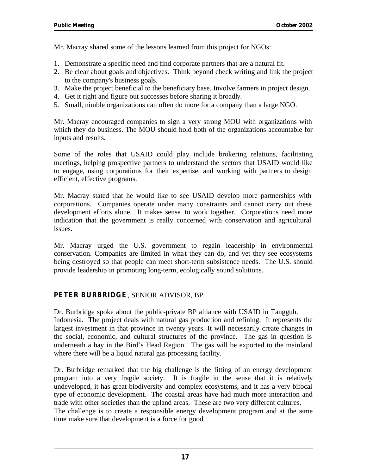Mr. Macray shared some of the lessons learned from this project for NGOs:

- 1. Demonstrate a specific need and find corporate partners that are a natural fit.
- 2. Be clear about goals and objectives. Think beyond check writing and link the project to the company's business goals.
- 3. Make the project beneficial to the beneficiary base. Involve farmers in project design.
- 4. Get it right and figure out successes before sharing it broadly.
- 5. Small, nimble organizations can often do more for a company than a large NGO.

Mr. Macray encouraged companies to sign a very strong MOU with organizations with which they do business. The MOU should hold both of the organizations accountable for inputs and results.

Some of the roles that USAID could play include brokering relations, facilitating meetings, helping prospective partners to understand the sectors that USAID would like to engage, using corporations for their expertise, and working with partners to design efficient, effective programs.

Mr. Macray stated that he would like to see USAID develop more partnerships with corporations. Companies operate under many constraints and cannot carry out these development efforts alone. It makes sense to work together. Corporations need more indication that the government is really concerned with conservation and agricultural issues.

Mr. Macray urged the U.S. government to regain leadership in environmental conservation. Companies are limited in what they can do, and yet they see ecosystems being destroyed so that people can meet short-term subsistence needs. The U.S. should provide leadership in promoting long-term, ecologically sound solutions.

#### **PETER BURBRIDGE**, SENIOR ADVISOR, BP

Dr. Burbridge spoke about the public-private BP alliance with USAID in Tangguh, Indonesia. The project deals with natural gas production and refining. It represents the largest investment in that province in twenty years. It will necessarily create changes in the social, economic, and cultural structures of the province. The gas in question is underneath a bay in the Bird's Head Region. The gas will be exported to the mainland where there will be a liquid natural gas processing facility.

Dr. Burbridge remarked that the big challenge is the fitting of an energy development program into a very fragile society. It is fragile in the sense that it is relatively undeveloped, it has great biodiversity and complex ecosystems, and it has a very bifocal type of economic development. The coastal areas have had much more interaction and trade with other societies than the upland areas. These are two very different cultures. The challenge is to create a responsible energy development program and at the same time make sure that development is a force for good.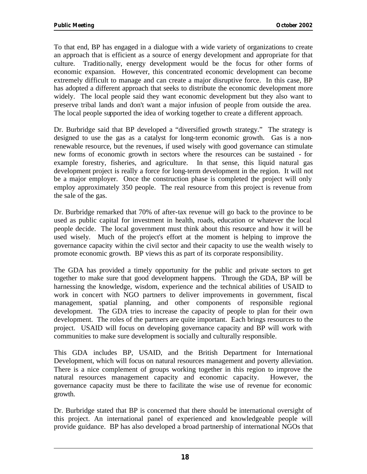To that end, BP has engaged in a dialogue with a wide variety of organizations to create an approach that is efficient as a source of energy development and appropriate for that culture. Traditionally, energy development would be the focus for other forms of economic expansion. However, this concentrated economic development can become extremely difficult to manage and can create a major disruptive force. In this case, BP has adopted a different approach that seeks to distribute the economic development more widely. The local people said they want economic development but they also want to preserve tribal lands and don't want a major infusion of people from outside the area. The local people supported the idea of working together to create a different approach.

Dr. Burbridge said that BP developed a "diversified growth strategy." The strategy is designed to use the gas as a catalyst for long-term economic growth. Gas is a nonrenewable resource, but the revenues, if used wisely with good governance can stimulate new forms of economic growth in sectors where the resources can be sustained - for example forestry, fisheries, and agriculture. In that sense, this liquid natural gas development project is really a force for long-term development in the region. It will not be a major employer. Once the construction phase is completed the project will only employ approximately 350 people. The real resource from this project is revenue from the sale of the gas.

Dr. Burbridge remarked that 70% of after-tax revenue will go back to the province to be used as public capital for investment in health, roads, education or whatever the local people decide. The local government must think about this resource and how it will be used wisely. Much of the project's effort at the moment is helping to improve the governance capacity within the civil sector and their capacity to use the wealth wisely to promote economic growth. BP views this as part of its corporate responsibility.

The GDA has provided a timely opportunity for the public and private sectors to get together to make sure that good development happens. Through the GDA, BP will be harnessing the knowledge, wisdom, experience and the technical abilities of USAID to work in concert with NGO partners to deliver improvements in government, fiscal management, spatial planning, and other components of responsible regional development. The GDA tries to increase the capacity of people to plan for their own development. The roles of the partners are quite important. Each brings resources to the project. USAID will focus on developing governance capacity and BP will work with communities to make sure development is socially and culturally responsible.

This GDA includes BP, USAID, and the British Department for International Development, which will focus on natural resources management and poverty alleviation. There is a nice complement of groups working together in this region to improve the natural resources management capacity and economic capacity. However, the governance capacity must be there to facilitate the wise use of revenue for economic growth.

Dr. Burbridge stated that BP is concerned that there should be international oversight of this project. An international panel of experienced and knowledgeable people will provide guidance. BP has also developed a broad partnership of international NGOs that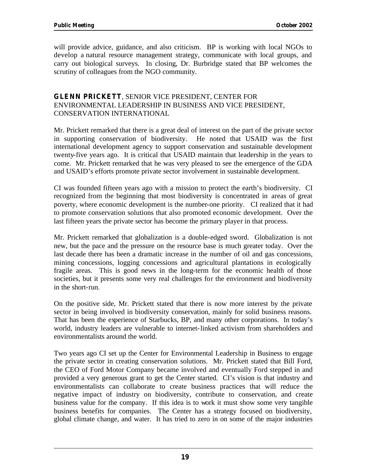will provide advice, guidance, and also criticism. BP is working with local NGOs to develop a natural resource management strategy, communicate with local groups, and carry out biological surveys. In closing, Dr. Burbridge stated that BP welcomes the scrutiny of colleagues from the NGO community.

#### **GLENN PRICKETT**, SENIOR VICE PRESIDENT, CENTER FOR ENVIRONMENTAL LEADERSHIP IN BUSINESS AND VICE PRESIDENT, CONSERVATION INTERNATIONAL

Mr. Prickett remarked that there is a great deal of interest on the part of the private sector in supporting conservation of biodiversity. He noted that USAID was the first international development agency to support conservation and sustainable development twenty-five years ago. It is critical that USAID maintain that leadership in the years to come. Mr. Prickett remarked that he was very pleased to see the emergence of the GDA and USAID's efforts promote private sector involvement in sustainable development.

CI was founded fifteen years ago with a mission to protect the earth's biodiversity. CI recognized from the beginning that most biodiversity is concentrated in areas of great poverty, where economic development is the number-one priority. CI realized that it had to promote conservation solutions that also promoted economic development. Over the last fifteen years the private sector has become the primary player in that process.

Mr. Prickett remarked that globalization is a double-edged sword. Globalization is not new, but the pace and the pressure on the resource base is much greater today. Over the last decade there has been a dramatic increase in the number of oil and gas concessions, mining concessions, logging concessions and agricultural plantations in ecologically fragile areas. This is good news in the long-term for the economic health of those societies, but it presents some very real challenges for the environment and biodiversity in the short-run.

On the positive side, Mr. Prickett stated that there is now more interest by the private sector in being involved in biodiversity conservation, mainly for solid business reasons. That has been the experience of Starbucks, BP, and many other corporations. In today's world, industry leaders are vulnerable to internet-linked activism from shareholders and environmentalists around the world.

Two years ago CI set up the Center for Environmental Leadership in Business to engage the private sector in creating conservation solutions. Mr. Prickett stated that Bill Ford, the CEO of Ford Motor Company became involved and eventually Ford stepped in and provided a very generous grant to get the Center started. CI's vision is that industry and environmentalists can collaborate to create business practices that will reduce the negative impact of industry on biodiversity, contribute to conservation, and create business value for the company. If this idea is to work it must show some very tangible business benefits for companies. The Center has a strategy focused on biodiversity, global climate change, and water. It has tried to zero in on some of the major industries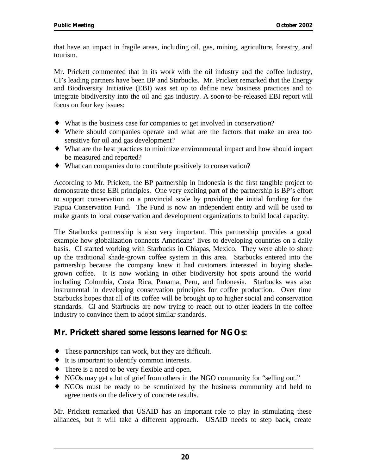that have an impact in fragile areas, including oil, gas, mining, agriculture, forestry, and tourism.

Mr. Prickett commented that in its work with the oil industry and the coffee industry, CI's leading partners have been BP and Starbucks. Mr. Prickett remarked that the Energy and Biodiversity Initiative (EBI) was set up to define new business practices and to integrate biodiversity into the oil and gas industry. A soon-to-be-released EBI report will focus on four key issues:

- What is the business case for companies to get involved in conservation?
- Where should companies operate and what are the factors that make an area too sensitive for oil and gas development?
- $\bullet$  What are the best practices to minimize environmental impact and how should impact be measured and reported?
- $\bullet$  What can companies do to contribute positively to conservation?

According to Mr. Prickett, the BP partnership in Indonesia is the first tangible project to demonstrate these EBI principles. One very exciting part of the partnership is BP's effort to support conservation on a provincial scale by providing the initial funding for the Papua Conservation Fund. The Fund is now an independent entity and will be used to make grants to local conservation and development organizations to build local capacity.

The Starbucks partnership is also very important. This partnership provides a good example how globalization connects Americans' lives to developing countries on a daily basis. CI started working with Starbucks in Chiapas, Mexico. They were able to shore up the traditional shade-grown coffee system in this area. Starbucks entered into the partnership because the company knew it had customers interested in buying shadegrown coffee. It is now working in other biodiversity hot spots around the world including Colombia, Costa Rica, Panama, Peru, and Indonesia. Starbucks was also instrumental in developing conservation principles for coffee production. Over time Starbucks hopes that all of its coffee will be brought up to higher social and conservation standards. CI and Starbucks are now trying to reach out to other leaders in the coffee industry to convince them to adopt similar standards.

#### **Mr. Prickett shared some lessons learned for NGOs:**

- $\bullet$  These partnerships can work, but they are difficult.
- $\bullet$  It is important to identify common interests.
- $\bullet$  There is a need to be very flexible and open.
- NGOs may get a lot of grief from others in the NGO community for "selling out."
- NGOs must be ready to be scrutinized by the business community and held to agreements on the delivery of concrete results.

Mr. Prickett remarked that USAID has an important role to play in stimulating these alliances, but it will take a different approach. USAID needs to step back, create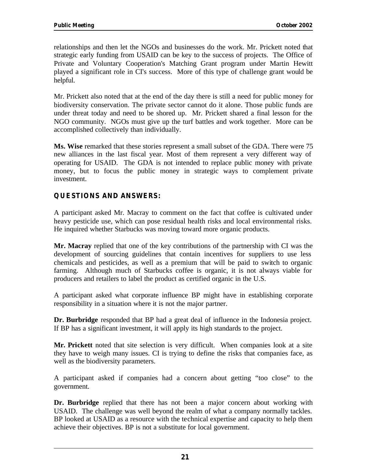relationships and then let the NGOs and businesses do the work. Mr. Prickett noted that strategic early funding from USAID can be key to the success of projects. The Office of Private and Voluntary Cooperation's Matching Grant program under Martin Hewitt played a significant role in CI's success. More of this type of challenge grant would be helpful.

Mr. Prickett also noted that at the end of the day there is still a need for public money for biodiversity conservation. The private sector cannot do it alone. Those public funds are under threat today and need to be shored up. Mr. Prickett shared a final lesson for the NGO community. NGOs must give up the turf battles and work together. More can be accomplished collectively than individually.

**Ms. Wise** remarked that these stories represent a small subset of the GDA. There were 75 new alliances in the last fiscal year. Most of them represent a very different way of operating for USAID. The GDA is not intended to replace public money with private money, but to focus the public money in strategic ways to complement private investment.

#### **QUESTIONS AND ANSWERS:**

A participant asked Mr. Macray to comment on the fact that coffee is cultivated under heavy pesticide use, which can pose residual health risks and local environmental risks. He inquired whether Starbucks was moving toward more organic products.

**Mr. Macray** replied that one of the key contributions of the partnership with CI was the development of sourcing guidelines that contain incentives for suppliers to use less chemicals and pesticides, as well as a premium that will be paid to switch to organic farming. Although much of Starbucks coffee is organic, it is not always viable for producers and retailers to label the product as certified organic in the U.S.

A participant asked what corporate influence BP might have in establishing corporate responsibility in a situation where it is not the major partner.

**Dr. Burbridge** responded that BP had a great deal of influence in the Indonesia project. If BP has a significant investment, it will apply its high standards to the project.

**Mr. Prickett** noted that site selection is very difficult. When companies look at a site they have to weigh many issues. CI is trying to define the risks that companies face, as well as the biodiversity parameters.

A participant asked if companies had a concern about getting "too close" to the government.

**Dr. Burbridge** replied that there has not been a major concern about working with USAID. The challenge was well beyond the realm of what a company normally tackles. BP looked at USAID as a resource with the technical expertise and capacity to help them achieve their objectives. BP is not a substitute for local government.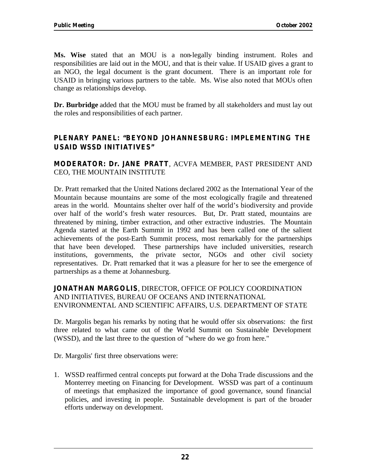**Ms. Wise** stated that an MOU is a non-legally binding instrument. Roles and responsibilities are laid out in the MOU, and that is their value. If USAID gives a grant to an NGO, the legal document is the grant document. There is an important role for USAID in bringing various partners to the table. Ms. Wise also noted that MOUs often change as relationships develop.

**Dr. Burbridge** added that the MOU must be framed by all stakeholders and must lay out the roles and responsibilities of each partner.

#### **PLENARY PANEL: "BEYOND JOHANNESBURG: IMPLEMENTING THE USAID WSSD INITIATIVES"**

**MODERATOR: Dr. JANE PRATT**, ACVFA MEMBER, PAST PRESIDENT AND CEO, THE MOUNTAIN INSTITUTE

Dr. Pratt remarked that the United Nations declared 2002 as the International Year of the Mountain because mountains are some of the most ecologically fragile and threatened areas in the world. Mountains shelter over half of the world's biodiversity and provide over half of the world's fresh water resources. But, Dr. Pratt stated, mountains are threatened by mining, timber extraction, and other extractive industries. The Mountain Agenda started at the Earth Summit in 1992 and has been called one of the salient achievements of the post-Earth Summit process, most remarkably for the partnerships that have been developed. These partnerships have included universities, research institutions, governments, the private sector, NGOs and other civil society representatives. Dr. Pratt remarked that it was a pleasure for her to see the emergence of partnerships as a theme at Johannesburg.

**JONATHAN MARGOLIS**, DIRECTOR, OFFICE OF POLICY COORDINATION AND INITIATIVES, BUREAU OF OCEANS AND INTERNATIONAL ENVIRONMENTAL AND SCIENTIFIC AFFAIRS, U.S. DEPARTMENT OF STATE

Dr. Margolis began his remarks by noting that he would offer six observations: the first three related to what came out of the World Summit on Sustainable Development (WSSD), and the last three to the question of "where do we go from here."

Dr. Margolis' first three observations were:

1. WSSD reaffirmed central concepts put forward at the Doha Trade discussions and the Monterrey meeting on Financing for Development. WSSD was part of a continuum of meetings that emphasized the importance of good governance, sound financial policies, and investing in people. Sustainable development is part of the broader efforts underway on development.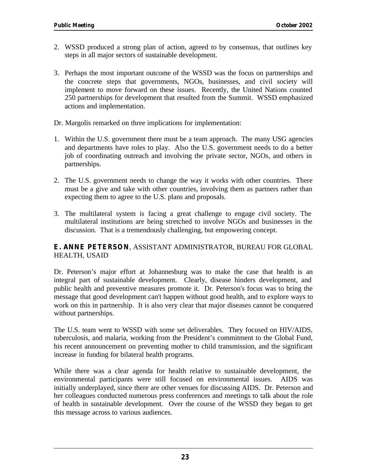- 2. WSSD produced a strong plan of action, agreed to by consensus, that outlines key steps in all major sectors of sustainable development.
- 3. Perhaps the most important outcome of the WSSD was the focus on partnerships and the concrete steps that governments, NGOs, businesses, and civil society will implement to move forward on these issues. Recently, the United Nations counted 250 partnerships for development that resulted from the Summit. WSSD emphasized actions and implementation.
- Dr. Margolis remarked on three implications for implementation:
- 1. Within the U.S. government there must be a team approach. The many USG agencies and departments have roles to play. Also the U.S. government needs to do a better job of coordinating outreach and involving the private sector, NGOs, and others in partnerships.
- 2. The U.S. government needs to change the way it works with other countries. There must be a give and take with other countries, involving them as partners rather than expecting them to agree to the U.S. plans and proposals.
- 3. The multilateral system is facing a great challenge to engage civil society. The multilateral institutions are being stretched to involve NGOs and businesses in the discussion. That is a tremendously challenging, but empowering concept.

#### **E. ANNE PETERSON**, ASSISTANT ADMINISTRATOR, BUREAU FOR GLOBAL HEALTH, USAID

Dr. Peterson's major effort at Johannesburg was to make the case that health is an integral part of sustainable development. Clearly, disease hinders development, and public health and preventive measures promote it. Dr. Peterson's focus was to bring the message that good development can't happen without good health, and to explore ways to work on this in partnership. It is also very clear that major diseases cannot be conquered without partnerships.

The U.S. team went to WSSD with some set deliverables. They focused on HIV/AIDS, tuberculosis, and malaria, working from the President's commitment to the Global Fund, his recent announcement on preventing mother to child transmission, and the significant increase in funding for bilateral health programs.

While there was a clear agenda for health relative to sustainable development, the environmental participants were still focused on environmental issues. AIDS was initially underplayed, since there are other venues for discussing AIDS. Dr. Peterson and her colleagues conducted numerous press conferences and meetings to talk about the role of health in sustainable development. Over the course of the WSSD they began to get this message across to various audiences.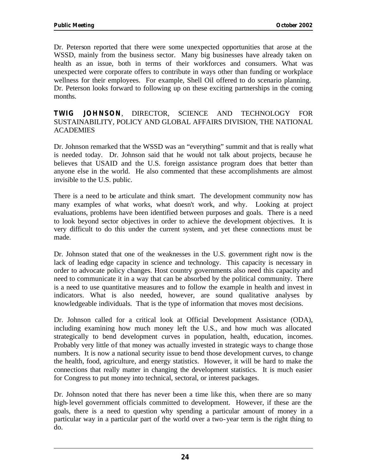Dr. Peterson reported that there were some unexpected opportunities that arose at the WSSD, mainly from the business sector. Many big businesses have already taken on health as an issue, both in terms of their workforces and consumers. What was unexpected were corporate offers to contribute in ways other than funding or workplace wellness for their employees. For example, Shell Oil offered to do scenario planning. Dr. Peterson looks forward to following up on these exciting partnerships in the coming months.

#### **TWIG JOHNSON**, DIRECTOR, SCIENCE AND TECHNOLOGY FOR SUSTAINABILITY, POLICY AND GLOBAL AFFAIRS DIVISION, THE NATIONAL ACADEMIES

Dr. Johnson remarked that the WSSD was an "everything" summit and that is really what is needed today. Dr. Johnson said that he would not talk about projects, because he believes that USAID and the U.S. foreign assistance program does that better than anyone else in the world. He also commented that these accomplishments are almost invisible to the U.S. public.

There is a need to be articulate and think smart. The development community now has many examples of what works, what doesn't work, and why. Looking at project evaluations, problems have been identified between purposes and goals. There is a need to look beyond sector objectives in order to achieve the development objectives. It is very difficult to do this under the current system, and yet these connections must be made.

Dr. Johnson stated that one of the weaknesses in the U.S. government right now is the lack of leading edge capacity in science and technology. This capacity is necessary in order to advocate policy changes. Host country governments also need this capacity and need to communicate it in a way that can be absorbed by the political community. There is a need to use quantitative measures and to follow the example in health and invest in indicators. What is also needed, however, are sound qualitative analyses by knowledgeable individuals. That is the type of information that moves most decisions.

Dr. Johnson called for a critical look at Official Development Assistance (ODA), including examining how much money left the U.S., and how much was allocated strategically to bend development curves in population, health, education, incomes. Probably very little of that money was actually invested in strategic ways to change those numbers. It is now a national security issue to bend those development curves, to change the health, food, agriculture, and energy statistics. However, it will be hard to make the connections that really matter in changing the development statistics. It is much easier for Congress to put money into technical, sectoral, or interest packages.

Dr. Johnson noted that there has never been a time like this, when there are so many high-level government officials committed to development. However, if these are the goals, there is a need to question why spending a particular amount of money in a particular way in a particular part of the world over a two-year term is the right thing to do.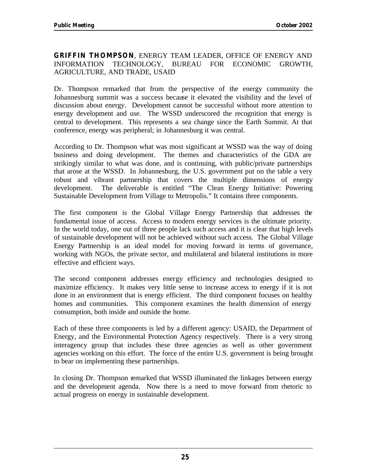#### **GRIFFIN THOMPSON**, ENERGY TEAM LEADER, OFFICE OF ENERGY AND INFORMATION TECHNOLOGY, BUREAU FOR ECONOMIC GROWTH, AGRICULTURE, AND TRADE, USAID

Dr. Thompson remarked that from the perspective of the energy community the Johannesburg summit was a success because it elevated the visibility and the level of discussion about energy. Development cannot be successful without more attention to energy development and use. The WSSD underscored the recognition that energy is central to development. This represents a sea change since the Earth Summit. At that conference, energy was peripheral; in Johannesburg it was central.

According to Dr. Thompson what was most significant at WSSD was the way of doing business and doing development. The themes and characteristics of the GDA are strikingly similar to what was done, and is continuing, with public/private partnerships that arose at the WSSD. In Johannesburg, the U.S. government put on the table a very robust and vibrant partnership that covers the multiple dimensions of energy development. The deliverable is entitled "The Clean Energy Initiative: Powering Sustainable Development from Village to Metropolis." It contains three components.

The first component is the Global Village Energy Partnership that addresses the fundamental issue of access. Access to modern energy services is the ultimate priority. In the world today, one out of three people lack such access and it is clear that high levels of sustainable development will not be achieved without such access. The Global Village Energy Partnership is an ideal model for moving forward in terms of governance, working with NGOs, the private sector, and multilateral and bilateral institutions in more effective and efficient ways.

The second component addresses energy efficiency and technologies designed to maximize efficiency. It makes very little sense to increase access to energy if it is not done in an environment that is energy efficient. The third component focuses on healthy homes and communities. This component examines the health dimension of energy consumption, both inside and outside the home.

Each of these three components is led by a different agency: USAID, the Department of Energy, and the Environmental Protection Agency respectively. There is a very strong interagency group that includes these three agencies as well as other government agencies working on this effort. The force of the entire U.S. government is being brought to bear on implementing these partnerships.

In closing Dr. Thompson remarked that WSSD illuminated the linkages between energy and the development agenda. Now there is a need to move forward from rhetoric to actual progress on energy in sustainable development.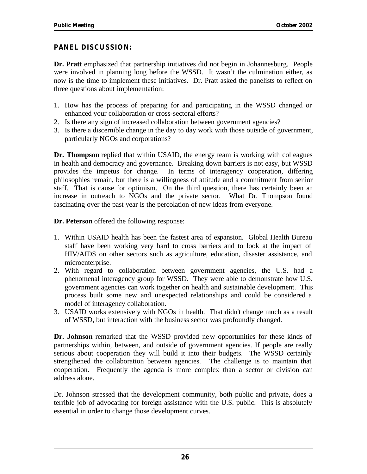#### **PANEL DISCUSSION:**

**Dr. Pratt** emphasized that partnership initiatives did not begin in Johannesburg. People were involved in planning long before the WSSD. It wasn't the culmination either, as now is the time to implement these initiatives. Dr. Pratt asked the panelists to reflect on three questions about implementation:

- 1. How has the process of preparing for and participating in the WSSD changed or enhanced your collaboration or cross-sectoral efforts?
- 2. Is there any sign of increased collaboration between government agencies?
- 3. Is there a discernible change in the day to day work with those outside of government, particularly NGOs and corporations?

**Dr. Thompson** replied that within USAID, the energy team is working with colleagues in health and democracy and governance. Breaking down barriers is not easy, but WSSD provides the impetus for change. In terms of interagency cooperation, differing philosophies remain, but there is a willingness of attitude and a commitment from senior staff. That is cause for optimism. On the third question, there has certainly been an increase in outreach to NGOs and the private sector. What Dr. Thompson found fascinating over the past year is the percolation of new ideas from everyone.

**Dr. Peterson** offered the following response:

- 1. Within USAID health has been the fastest area of expansion. Global Health Bureau staff have been working very hard to cross barriers and to look at the impact of HIV/AIDS on other sectors such as agriculture, education, disaster assistance, and microenterprise.
- 2. With regard to collaboration between government agencies, the U.S. had a phenomenal interagency group for WSSD. They were able to demonstrate how U.S. government agencies can work together on health and sustainable development. This process built some new and unexpected relationships and could be considered a model of interagency collaboration.
- 3. USAID works extensively with NGOs in health. That didn't change much as a result of WSSD, but interaction with the business sector was profoundly changed.

**Dr. Johnson** remarked that the WSSD provided ne w opportunities for these kinds of partnerships within, between, and outside of government agencies. If people are really serious about cooperation they will build it into their budgets. The WSSD certainly strengthened the collaboration between agencies. The challenge is to maintain that cooperation. Frequently the agenda is more complex than a sector or division can address alone.

Dr. Johnson stressed that the development community, both public and private, does a terrible job of advocating for foreign assistance with the U.S. public. This is absolutely essential in order to change those development curves.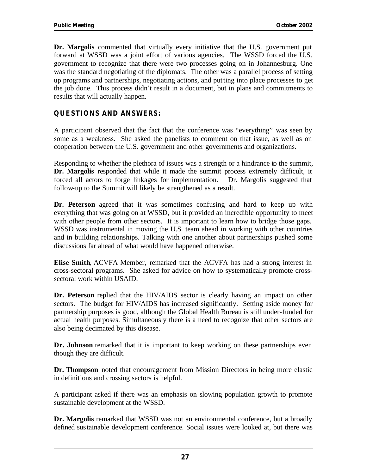**Dr. Margolis** commented that virtually every initiative that the U.S. government put forward at WSSD was a joint effort of various agencies. The WSSD forced the U.S. government to recognize that there were two processes going on in Johannesburg. One was the standard negotiating of the diplomats. The other was a parallel process of setting up programs and partnerships, negotiating actions, and putting into place processes to get the job done. This process didn't result in a document, but in plans and commitments to results that will actually happen.

#### **QUESTIONS AND ANSWERS:**

A participant observed that the fact that the conference was "everything" was seen by some as a weakness. She asked the panelists to comment on that issue, as well as on cooperation between the U.S. government and other governments and organizations.

Responding to whether the plethora of issues was a strength or a hindrance to the summit, **Dr. Margolis** responded that while it made the summit process extremely difficult, it forced all actors to forge linkages for implementation. Dr. Margolis suggested that follow-up to the Summit will likely be strengthened as a result.

**Dr. Peterson** agreed that it was sometimes confusing and hard to keep up with everything that was going on at WSSD, but it provided an incredible opportunity to meet with other people from other sectors. It is important to learn how to bridge those gaps. WSSD was instrumental in moving the U.S. team ahead in working with other countries and in building relationships. Talking with one another about partnerships pushed some discussions far ahead of what would have happened otherwise.

**Elise Smith**, ACVFA Member, remarked that the ACVFA has had a strong interest in cross-sectoral programs. She asked for advice on how to systematically promote crosssectoral work within USAID.

**Dr. Peterson** replied that the HIV/AIDS sector is clearly having an impact on other sectors. The budget for HIV/AIDS has increased significantly. Setting aside money for partnership purposes is good, although the Global Health Bureau is still under-funded for actual health purposes. Simultaneously there is a need to recognize that other sectors are also being decimated by this disease.

**Dr. Johnson** remarked that it is important to keep working on these partnerships even though they are difficult.

**Dr. Thompson** noted that encouragement from Mission Directors in being more elastic in definitions and crossing sectors is helpful.

A participant asked if there was an emphasis on slowing population growth to promote sustainable development at the WSSD.

**Dr. Margolis** remarked that WSSD was not an environmental conference, but a broadly defined sustainable development conference. Social issues were looked at, but there was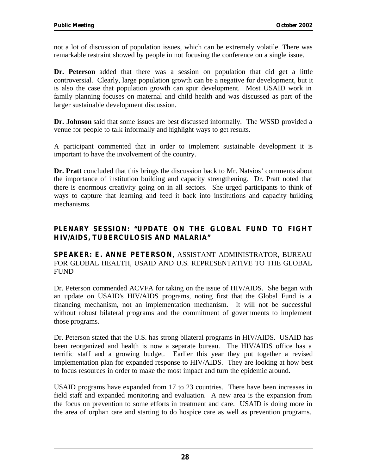not a lot of discussion of population issues, which can be extremely volatile. There was remarkable restraint showed by people in not focusing the conference on a single issue.

**Dr. Peterson** added that there was a session on population that did get a little controversial. Clearly, large population growth can be a negative for development, but it is also the case that population growth can spur development. Most USAID work in family planning focuses on maternal and child health and was discussed as part of the larger sustainable development discussion.

**Dr. Johnson** said that some issues are best discussed informally. The WSSD provided a venue for people to talk informally and highlight ways to get results.

A participant commented that in order to implement sustainable development it is important to have the involvement of the country.

**Dr. Pratt** concluded that this brings the discussion back to Mr. Natsios' comments about the importance of institution building and capacity strengthening. Dr. Pratt noted that there is enormous creativity going on in all sectors. She urged participants to think of ways to capture that learning and feed it back into institutions and capacity building mechanisms.

#### **PLENARY SESSION: "UPDATE ON THE GLOBAL FUND TO FIGHT HIV/AIDS, TUBERCULOSIS AND MALARIA"**

**SPEAKER: E. ANNE PETERSON**, ASSISTANT ADMINISTRATOR, BUREAU FOR GLOBAL HEALTH, USAID AND U.S. REPRESENTATIVE TO THE GLOBAL FUND

Dr. Peterson commended ACVFA for taking on the issue of HIV/AIDS. She began with an update on USAID's HIV/AIDS programs, noting first that the Global Fund is a financing mechanism, not an implementation mechanism. It will not be successful without robust bilateral programs and the commitment of governments to implement those programs.

Dr. Peterson stated that the U.S. has strong bilateral programs in HIV/AIDS. USAID has been reorganized and health is now a separate bureau. The HIV/AIDS office has a terrific staff and a growing budget. Earlier this year they put together a revised implementation plan for expanded response to HIV/AIDS. They are looking at how best to focus resources in order to make the most impact and turn the epidemic around.

USAID programs have expanded from 17 to 23 countries. There have been increases in field staff and expanded monitoring and evaluation. A new area is the expansion from the focus on prevention to some efforts in treatment and care. USAID is doing more in the area of orphan care and starting to do hospice care as well as prevention programs.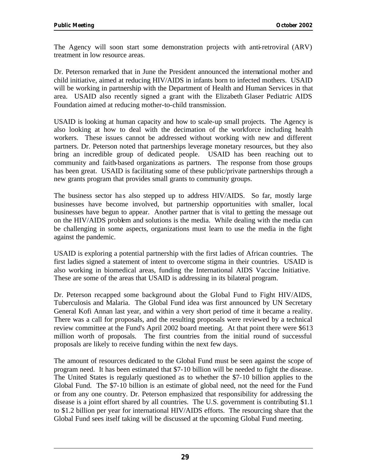The Agency will soon start some demonstration projects with anti-retroviral (ARV) treatment in low resource areas.

Dr. Peterson remarked that in June the President announced the international mother and child initiative, aimed at reducing HIV/AIDS in infants born to infected mothers. USAID will be working in partnership with the Department of Health and Human Services in that area. USAID also recently signed a grant with the Elizabeth Glaser Pediatric AIDS Foundation aimed at reducing mother-to-child transmission.

USAID is looking at human capacity and how to scale-up small projects. The Agency is also looking at how to deal with the decimation of the workforce including health workers. These issues cannot be addressed without working with new and different partners. Dr. Peterson noted that partnerships leverage monetary resources, but they also bring an incredible group of dedicated people. USAID has been reaching out to community and faith-based organizations as partners. The response from those groups has been great. USAID is facilitating some of these public/private partnerships through a new grants program that provides small grants to community groups.

The business sector has also stepped up to address HIV/AIDS. So far, mostly large businesses have become involved, but partnership opportunities with smaller, local businesses have begun to appear. Another partner that is vital to getting the message out on the HIV/AIDS problem and solutions is the media. While dealing with the media can be challenging in some aspects, organizations must learn to use the media in the fight against the pandemic.

USAID is exploring a potential partnership with the first ladies of African countries. The first ladies signed a statement of intent to overcome stigma in their countries. USAID is also working in biomedical areas, funding the International AIDS Vaccine Initiative. These are some of the areas that USAID is addressing in its bilateral program.

Dr. Peterson recapped some background about the Global Fund to Fight HIV/AIDS, Tuberculosis and Malaria. The Global Fund idea was first announced by UN Secretary General Kofi Annan last year, and within a very short period of time it became a reality. There was a call for proposals, and the resulting proposals were reviewed by a technical review committee at the Fund's April 2002 board meeting. At that point there were \$613 million worth of proposals. The first countries from the initial round of successful proposals are likely to receive funding within the next few days.

The amount of resources dedicated to the Global Fund must be seen against the scope of program need. It has been estimated that \$7-10 billion will be needed to fight the disease. The United States is regularly questioned as to whether the \$7-10 billion applies to the Global Fund. The \$7-10 billion is an estimate of global need, not the need for the Fund or from any one country. Dr. Peterson emphasized that responsibility for addressing the disease is a joint effort shared by all countries. The U.S. government is contributing \$1.1 to \$1.2 billion per year for international HIV/AIDS efforts. The resourcing share that the Global Fund sees itself taking will be discussed at the upcoming Global Fund meeting.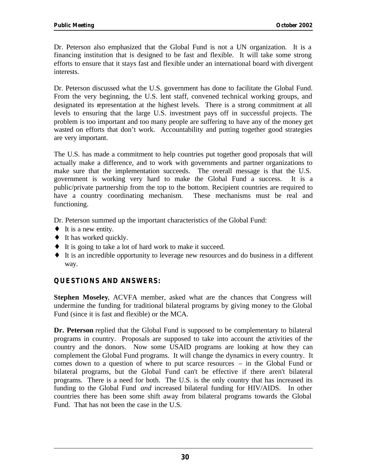Dr. Peterson also emphasized that the Global Fund is not a UN organization. It is a financing institution that is designed to be fast and flexible. It will take some strong efforts to ensure that it stays fast and flexible under an international board with divergent interests.

Dr. Peterson discussed what the U.S. government has done to facilitate the Global Fund. From the very beginning, the U.S. lent staff, convened technical working groups, and designated its representation at the highest levels. There is a strong commitment at all levels to ensuring that the large U.S. investment pays off in successful projects. The problem is too important and too many people are suffering to have any of the money get wasted on efforts that don't work. Accountability and putting together good strategies are very important.

The U.S. has made a commitment to help countries put together good proposals that will actually make a difference, and to work with governments and partner organizations to make sure that the implementation succeeds. The overall message is that the U.S. government is working very hard to make the Global Fund a success. It is a public/private partnership from the top to the bottom. Recipient countries are required to have a country coordinating mechanism. These mechanisms must be real and functioning.

Dr. Peterson summed up the important characteristics of the Global Fund:

- $\bullet$  It is a new entity.
- $\bullet$  It has worked quickly.
- It is going to take a lot of hard work to make it succeed.
- $\bullet$  It is an incredible opportunity to leverage new resources and do business in a different way.

#### **QUESTIONS AND ANSWERS:**

**Stephen Moseley**, ACVFA member, asked what are the chances that Congress will undermine the funding for traditional bilateral programs by giving money to the Global Fund (since it is fast and flexible) or the MCA.

**Dr. Peterson** replied that the Global Fund is supposed to be complementary to bilateral programs in country. Proposals are supposed to take into account the activities of the country and the donors. Now some USAID programs are looking at how they can complement the Global Fund programs. It will change the dynamics in every country. It comes down to a question of where to put scarce resources – in the Global Fund or bilateral programs, but the Global Fund can't be effective if there aren't bilateral programs. There is a need for both. The U.S. is the only country that has increased its funding to the Global Fund *and* increased bilateral funding for HIV/AIDS. In other countries there has been some shift away from bilateral programs towards the Global Fund. That has not been the case in the U.S.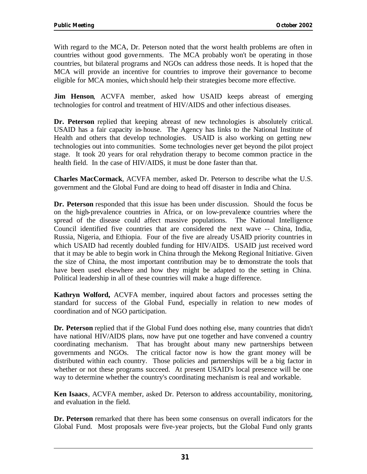With regard to the MCA, Dr. Peterson noted that the worst health problems are often in countries without good gove rnments. The MCA probably won't be operating in those countries, but bilateral programs and NGOs can address those needs. It is hoped that the MCA will provide an incentive for countries to improve their governance to become eligible for MCA monies, which should help their strategies become more effective.

**Jim Henson**, ACVFA member, asked how USAID keeps abreast of emerging technologies for control and treatment of HIV/AIDS and other infectious diseases.

**Dr. Peterson** replied that keeping abreast of new technologies is absolutely critical. USAID has a fair capacity in-house. The Agency has links to the National Institute of Health and others that develop technologies. USAID is also working on getting new technologies out into communities. Some technologies never get beyond the pilot project stage. It took 20 years for oral rehydration therapy to become common practice in the health field. In the case of HIV/AIDS, it must be done faster than that.

**Charles MacCormack**, ACVFA member, asked Dr. Peterson to describe what the U.S. government and the Global Fund are doing to head off disaster in India and China.

Council identified five countries that are considered the next wave -- China, India, **Dr. Peterson** responded that this issue has been under discussion. Should the focus be on the high-prevalence countries in Africa, or on low-prevalence countries where the spread of the disease could affect massive populations. The National Intelligence Russia, Nigeria, and Ethiopia. Four of the five are already USAID priority countries in which USAID had recently doubled funding for HIV/AIDS. USAID just received word that it may be able to begin work in China through the Mekong Regional Initiative. Given the size of China, the most important contribution may be to demonstrate the tools that have been used elsewhere and how they might be adapted to the setting in China. Political leadership in all of these countries will make a huge difference.

**Kathryn Wolford,** ACVFA member, inquired about factors and processes setting the standard for success of the Global Fund, especially in relation to new modes of coordination and of NGO participation.

**Dr. Peterson** replied that if the Global Fund does nothing else, many countries that didn't have national HIV/AIDS plans, now have put one together and have convened a country coordinating mechanism. That has brought about many new partnerships between governments and NGOs. The critical factor now is how the grant money will be distributed within each country. Those policies and partnerships will be a big factor in whether or not these programs succeed. At present USAID's local presence will be one way to determine whether the country's coordinating mechanism is real and workable.

**Ken Isaacs**, ACVFA member, asked Dr. Peterson to address accountability, monitoring, and evaluation in the field.

**Dr. Peterson** remarked that there has been some consensus on overall indicators for the Global Fund. Most proposals were five-year projects, but the Global Fund only grants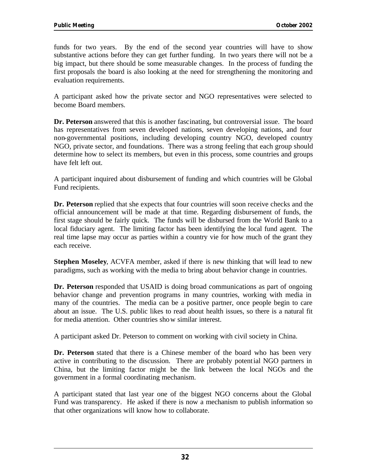funds for two years. By the end of the second year countries will have to show substantive actions before they can get further funding. In two years there will not be a big impact, but there should be some measurable changes. In the process of funding the first proposals the board is also looking at the need for strengthening the monitoring and evaluation requirements.

A participant asked how the private sector and NGO representatives were selected to become Board members.

**Dr. Peterson** answered that this is another fascinating, but controversial issue. The board has representatives from seven developed nations, seven developing nations, and four non-governmental positions, including developing country NGO, developed country NGO, private sector, and foundations. There was a strong feeling that each group should determine how to select its members, but even in this process, some countries and groups have felt left out.

A participant inquired about disbursement of funding and which countries will be Global Fund recipients.

**Dr. Peterson** replied that she expects that four countries will soon receive checks and the official announcement will be made at that time. Regarding disbursement of funds, the first stage should be fairly quick. The funds will be disbursed from the World Bank to a local fiduciary agent. The limiting factor has been identifying the local fund agent. The real time lapse may occur as parties within a country vie for how much of the grant they each receive.

**Stephen Moseley**, ACVFA member, asked if there is new thinking that will lead to new paradigms, such as working with the media to bring about behavior change in countries.

**Dr. Peterson** responded that USAID is doing broad communications as part of ongoing behavior change and prevention programs in many countries, working with media in many of the countries. The media can be a positive partner, once people begin to care about an issue. The U.S. public likes to read about health issues, so there is a natural fit for media attention. Other countries sho w similar interest.

A participant asked Dr. Peterson to comment on working with civil society in China.

**Dr. Peterson** stated that there is a Chinese member of the board who has been very active in contributing to the discussion. There are probably potent ial NGO partners in China, but the limiting factor might be the link between the local NGOs and the government in a formal coordinating mechanism.

A participant stated that last year one of the biggest NGO concerns about the Global Fund was transparency. He asked if there is now a mechanism to publish information so that other organizations will know how to collaborate.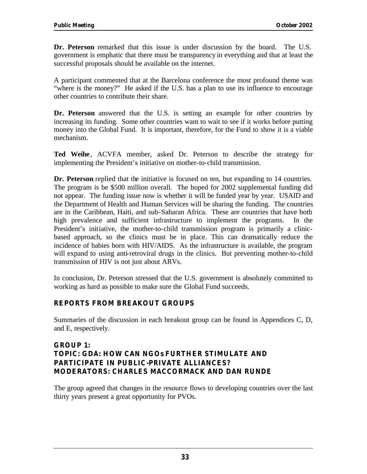**Dr. Peterson** remarked that this issue is under discussion by the board. The U.S. government is emphatic that there must be transparency in everything and that at least the successful proposals should be available on the internet.

A participant commented that at the Barcelona conference the most profound theme was "where is the money?" He asked if the U.S. has a plan to use its influence to encourage other countries to contribute their share.

**Dr. Peterson** answered that the U.S. is setting an example for other countries by increasing its funding. Some other countries want to wait to see if it works before putting money into the Global Fund. It is important, therefore, for the Fund to show it is a viable mechanism.

Ted Weihe, ACVFA member, asked Dr. Peterson to describe the strategy for implementing the President's initiative on mother-to-child transmission.

**Dr. Peterson** replied that the initiative is focused on ten, but expanding to 14 countries. The program is be \$500 million overall. The hoped for 2002 supplemental funding did not appear. The funding issue now is whether it will be funded year by year. USAID and the Department of Health and Human Services will be sharing the funding. The countries are in the Caribbean, Haiti, and sub-Saharan Africa. These are countries that have both high prevalence and sufficient infrastructure to implement the programs. In the President's initiative, the mother-to-child transmission program is primarily a clinicbased approach, so the clinics must be in place. This can dramatically reduce the incidence of babies born with HIV/AIDS. As the infrastructure is available, the program will expand to using anti-retroviral drugs in the clinics. But preventing mother-to-child transmission of HIV is not just about ARVs.

In conclusion, Dr. Peterson stressed that the U.S. government is absolutely committed to working as hard as possible to make sure the Global Fund succeeds.

### **REPORTS FROM BREAKOUT GROUPS**

Summaries of the discussion in each breakout group can be found in Appendices C, D, and E, respectively.

### **GROUP 1: TOPIC: GDA: HOW CAN NGOs FURTHER STIMULATE AND PARTICIPATE IN PUBLIC-PRIVATE ALLIANCES? MODERATORS: CHARLES MACCORMACK AND DAN RUNDE**

The group agreed that changes in the resource flows to developing countries over the last thirty years present a great opportunity for PVOs.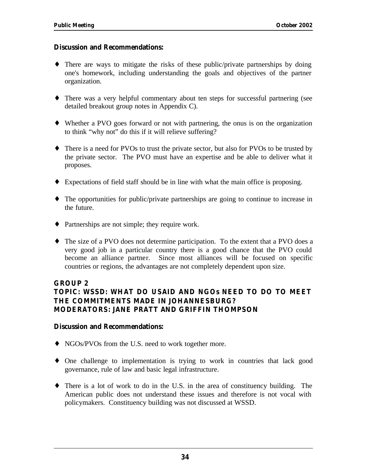### **Discussion and Recommendations:**

- $\bullet$  There are ways to mitigate the risks of these public/private partnerships by doing one's homework, including understanding the goals and objectives of the partner organization.
- There was a very helpful commentary about ten steps for successful partnering (see detailed breakout group notes in Appendix C).
- Whether a PVO goes forward or not with partnering, the onus is on the organization to think "why not" do this if it will relieve suffering?
- There is a need for PVOs to trust the private sector, but also for PVOs to be trusted by the private sector. The PVO must have an expertise and be able to deliver what it proposes.
- $\bullet$  Expectations of field staff should be in line with what the main office is proposing.
- $\bullet$  The opportunities for public/private partnerships are going to continue to increase in the future.
- Partnerships are not simple; they require work.
- The size of a PVO does not determine participation. To the extent that a PVO does a very good job in a particular country there is a good chance that the PVO could become an alliance partner. Since most alliances will be focused on specific countries or regions, the advantages are not completely dependent upon size.

### **GROUP 2**

### **TOPIC: WSSD: WHAT DO USAID AND NGOs NEED TO DO TO MEET THE COMMITMENTS MADE IN JOHANNESBURG? MODERATORS: JANE PRATT AND GRIFFIN THOMPSON**

### **Discussion and Recommendations:**

- NGOs/PVOs from the U.S. need to work together more.
- One challenge to implementation is trying to work in countries that lack good governance, rule of law and basic legal infrastructure.
- There is a lot of work to do in the U.S. in the area of constituency building. The American public does not understand these issues and therefore is not vocal with policymakers. Constituency building was not discussed at WSSD.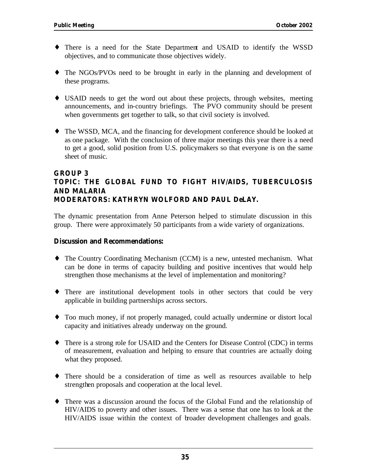- There is a need for the State Department and USAID to identify the WSSD objectives, and to communicate those objectives widely.
- The NGOs/PVOs need to be brought in early in the planning and development of these programs.
- USAID needs to get the word out about these projects, through websites, meeting announcements, and in-country briefings. The PVO community should be present when governments get together to talk, so that civil society is involved.
- The WSSD, MCA, and the financing for development conference should be looked at as one package. With the conclusion of three major meetings this year there is a need to get a good, solid position from U.S. policymakers so that everyone is on the same sheet of music.

### **GROUP 3 TOPIC: THE GLOBAL FUND TO FIGHT HIV/AIDS, TUBERCULOSIS AND MALARIA MODERATORS: KATHRYN WOLFORD AND PAUL DeLAY.**

The dynamic presentation from Anne Peterson helped to stimulate discussion in this group. There were approximately 50 participants from a wide variety of organizations.

### **Discussion and Recommendations:**

- The Country Coordinating Mechanism (CCM) is a new, untested mechanism. What can be done in terms of capacity building and positive incentives that would help strengthen those mechanisms at the level of implementation and monitoring?
- There are institutional development tools in other sectors that could be very applicable in building partnerships across sectors.
- Too much money, if not properly managed, could actually undermine or distort local capacity and initiatives already underway on the ground.
- There is a strong role for USAID and the Centers for Disease Control (CDC) in terms of measurement, evaluation and helping to ensure that countries are actually doing what they proposed.
- There should be a consideration of time as well as resources available to help strengthen proposals and cooperation at the local level.
- There was a discussion around the focus of the Global Fund and the relationship of HIV/AIDS to poverty and other issues. There was a sense that one has to look at the HIV/AIDS issue within the context of broader development challenges and goals.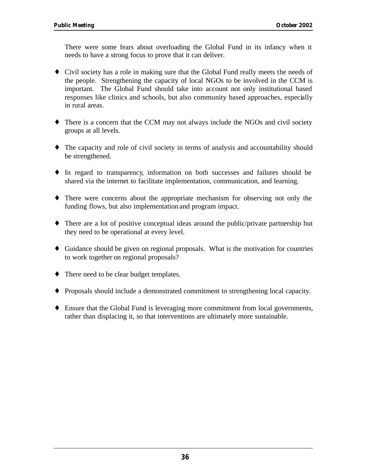There were some fears about overloading the Global Fund in its infancy when it needs to have a strong focus to prove that it can deliver.

- Civil society has a role in making sure that the Global Fund really meets the needs of the people. Strengthening the capacity of local NGOs to be involved in the CCM is important. The Global Fund should take into account not only institutional based responses like clinics and schools, but also community based approaches, especially in rural areas.
- $\bullet$  There is a concern that the CCM may not always include the NGOs and civil society groups at all levels.
- The capacity and role of civil society in terms of analysis and accountability should be strengthened.
- ¤ In regard to transparency, information on both successes and failures should be shared via the internet to facilitate implementation, communication, and learning.
- There were concerns about the appropriate mechanism for observing not only the funding flows, but also implementation and program impact.
- $\bullet$  There are a lot of positive conceptual ideas around the public/private partnership but they need to be operational at every level.
- $\bullet$  Guidance should be given on regional proposals. What is the motivation for countries to work together on regional proposals?
- There need to be clear budget templates.
- Proposals should include a demonstrated commitment to strengthening local capacity.
- Ensure that the Global Fund is leveraging more commitment from local governments, rather than displacing it, so that interventions are ultimately more sustainable.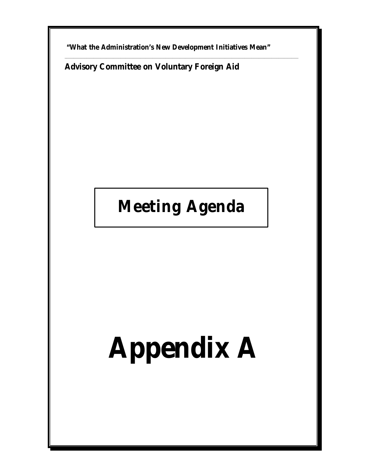**"What the Administration's New Development Initiatives Mean"** 

\_\_\_\_\_\_\_\_\_\_\_\_\_\_\_\_\_\_\_\_\_\_\_\_\_\_\_\_\_\_\_\_\_\_\_\_\_\_\_\_\_\_\_\_\_\_\_\_\_\_\_\_\_\_\_\_\_\_\_\_\_\_\_\_\_\_\_\_\_\_\_\_\_\_\_\_\_\_\_\_\_\_\_\_\_\_\_\_\_\_\_\_\_\_\_\_\_\_\_\_\_\_\_\_\_\_\_\_\_\_\_\_\_\_\_\_\_\_\_\_\_\_\_\_\_\_\_\_\_\_

**Advisory Committee on Voluntary Foreign Aid** 

## **Meeting Agenda**

## **Appendix A**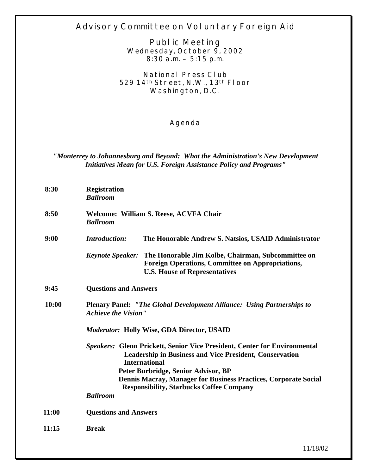### **Advisory Committee on Voluntary Foreign Aid**

**Public Meeting Wednesday, October 9, 2002 8:30 a.m. – 5:15 p.m.** 

**National Press Club 529 14th Street, N.W., 13th Floor Washington, D.C.** 

### **Agenda**

### *"Monterrey to Johannesburg and Beyond: What the Administration's New Development Initiatives Mean for U.S. Foreign Assistance Policy and Programs"*

| 8:30  | <b>Registration</b><br><b>Ballroom</b>                                                                                                                                                                                                                                                                                                  |                                                                                                                                                                        |
|-------|-----------------------------------------------------------------------------------------------------------------------------------------------------------------------------------------------------------------------------------------------------------------------------------------------------------------------------------------|------------------------------------------------------------------------------------------------------------------------------------------------------------------------|
| 8:50  | <b>Welcome: William S. Reese, ACVFA Chair</b><br><b>Ballroom</b>                                                                                                                                                                                                                                                                        |                                                                                                                                                                        |
| 9:00  | <b>Introduction:</b>                                                                                                                                                                                                                                                                                                                    | The Honorable Andrew S. Natsios, USAID Administrator                                                                                                                   |
|       |                                                                                                                                                                                                                                                                                                                                         | Keynote Speaker: The Honorable Jim Kolbe, Chairman, Subcommittee on<br><b>Foreign Operations, Committee on Appropriations,</b><br><b>U.S. House of Representatives</b> |
| 9:45  | <b>Questions and Answers</b>                                                                                                                                                                                                                                                                                                            |                                                                                                                                                                        |
| 10:00 | <b>Plenary Panel: "The Global Development Alliance: Using Partnerships to</b><br><b>Achieve the Vision"</b>                                                                                                                                                                                                                             |                                                                                                                                                                        |
|       | <b>Moderator: Holly Wise, GDA Director, USAID</b>                                                                                                                                                                                                                                                                                       |                                                                                                                                                                        |
|       | <b>Speakers: Glenn Prickett, Senior Vice President, Center for Environmental</b><br><b>Leadership in Business and Vice President, Conservation</b><br><b>International</b><br>Peter Burbridge, Senior Advisor, BP<br>Dennis Macray, Manager for Business Practices, Corporate Social<br><b>Responsibility, Starbucks Coffee Company</b> |                                                                                                                                                                        |
|       | <b>Ballroom</b>                                                                                                                                                                                                                                                                                                                         |                                                                                                                                                                        |
| 11:00 | <b>Questions and Answers</b>                                                                                                                                                                                                                                                                                                            |                                                                                                                                                                        |
| 11:15 | <b>Break</b>                                                                                                                                                                                                                                                                                                                            |                                                                                                                                                                        |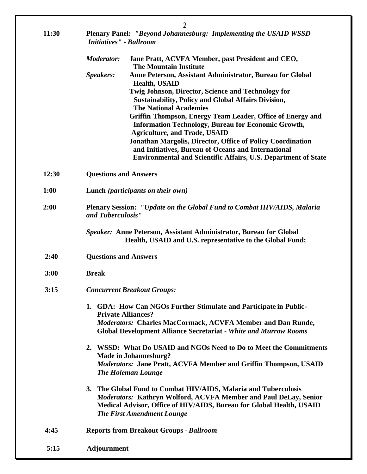|              | $\overline{2}$                                                                                                                                                                                                                                   |  |  |
|--------------|--------------------------------------------------------------------------------------------------------------------------------------------------------------------------------------------------------------------------------------------------|--|--|
| <b>11:30</b> | Plenary Panel: "Beyond Johannesburg: Implementing the USAID WSSD<br><b>Initiatives"</b> - Ballroom                                                                                                                                               |  |  |
|              | <b>Moderator:</b><br>Jane Pratt, ACVFA Member, past President and CEO,<br><b>The Mountain Institute</b>                                                                                                                                          |  |  |
|              | Speakers:<br>Anne Peterson, Assistant Administrator, Bureau for Global                                                                                                                                                                           |  |  |
|              | <b>Health, USAID</b><br>Twig Johnson, Director, Science and Technology for                                                                                                                                                                       |  |  |
|              | <b>Sustainability, Policy and Global Affairs Division,</b><br><b>The National Academies</b>                                                                                                                                                      |  |  |
|              | Griffin Thompson, Energy Team Leader, Office of Energy and                                                                                                                                                                                       |  |  |
|              | Information Technology, Bureau for Economic Growth,<br><b>Agriculture, and Trade, USAID</b>                                                                                                                                                      |  |  |
|              | <b>Jonathan Margolis, Director, Office of Policy Coordination</b>                                                                                                                                                                                |  |  |
|              | and Initiatives, Bureau of Oceans and International<br><b>Environmental and Scientific Affairs, U.S. Department of State</b>                                                                                                                     |  |  |
| 12:30        | <b>Questions and Answers</b>                                                                                                                                                                                                                     |  |  |
| 1:00         | Lunch ( <i>participants on their own</i> )                                                                                                                                                                                                       |  |  |
| 2:00         | <b>Plenary Session: "Update on the Global Fund to Combat HIV/AIDS, Malaria</b><br>and Tuberculosis"                                                                                                                                              |  |  |
|              | Speaker: Anne Peterson, Assistant Administrator, Bureau for Global<br>Health, USAID and U.S. representative to the Global Fund;                                                                                                                  |  |  |
| 2:40         | <b>Questions and Answers</b>                                                                                                                                                                                                                     |  |  |
| 3:00         | <b>Break</b>                                                                                                                                                                                                                                     |  |  |
| 3:15         | <b>Concurrent Breakout Groups:</b>                                                                                                                                                                                                               |  |  |
|              | 1. GDA: How Can NGOs Further Stimulate and Participate in Public-<br><b>Private Alliances?</b>                                                                                                                                                   |  |  |
|              | Moderators: Charles MacCormack, ACVFA Member and Dan Runde,<br><b>Global Development Alliance Secretariat - White and Murrow Rooms</b>                                                                                                           |  |  |
|              | 2. WSSD: What Do USAID and NGOs Need to Do to Meet the Commitments<br>Made in Johannesburg?                                                                                                                                                      |  |  |
|              | <b>Moderators: Jane Pratt, ACVFA Member and Griffin Thompson, USAID</b><br><b>The Holeman Lounge</b>                                                                                                                                             |  |  |
|              | 3. The Global Fund to Combat HIV/AIDS, Malaria and Tuberculosis<br>Moderators: Kathryn Wolford, ACVFA Member and Paul DeLay, Senior<br>Medical Advisor, Office of HIV/AIDS, Bureau for Global Health, USAID<br><b>The First Amendment Lounge</b> |  |  |
| 4:45         | <b>Reports from Breakout Groups - Ballroom</b>                                                                                                                                                                                                   |  |  |
| 5:15         | <b>Adjournment</b>                                                                                                                                                                                                                               |  |  |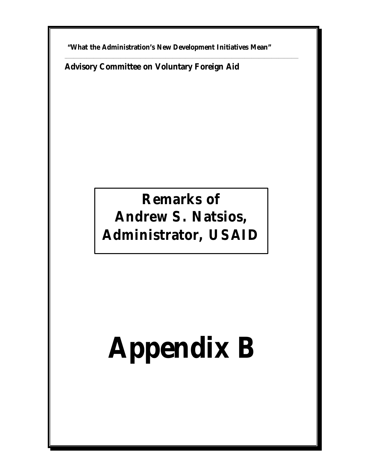**"What the Administration's New Development Initiatives Mean"** 

\_\_\_\_\_\_\_\_\_\_\_\_\_\_\_\_\_\_\_\_\_\_\_\_\_\_\_\_\_\_\_\_\_\_\_\_\_\_\_\_\_\_\_\_\_\_\_\_\_\_\_\_\_\_\_\_\_\_\_\_\_\_\_\_\_\_\_\_\_\_\_\_\_\_\_\_\_\_\_\_\_\_\_\_\_\_\_\_\_\_\_\_\_\_\_\_\_\_\_\_\_\_\_\_\_\_\_\_\_\_\_\_\_\_\_\_\_\_\_\_\_\_\_\_\_\_\_\_\_\_

**Advisory Committee on Voluntary Foreign Aid** 

### **Remarks of Andrew S. Natsios, Administrator, USAID**

## **Appendix B**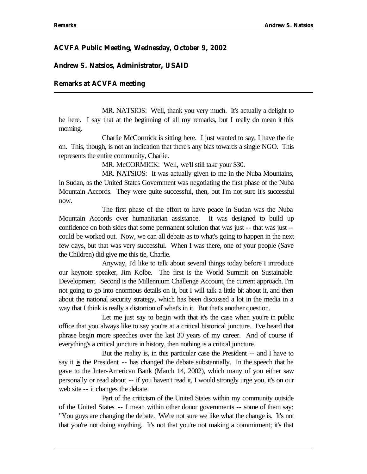### **ACVFA Public Meeting, Wednesday, October 9, 2002**

#### **Andrew S. Natsios, Administrator, USAID**

#### **Remarks at ACVFA meeting**

MR. NATSIOS: Well, thank you very much. It's actually a delight to be here. I say that at the beginning of all my remarks, but I really do mean it this morning.

Charlie McCormick is sitting here. I just wanted to say, I have the tie on. This, though, is not an indication that there's any bias towards a single NGO. This represents the entire community, Charlie.

MR. McCORMICK: Well, we'll still take your \$30.

MR. NATSIOS: It was actually given to me in the Nuba Mountains, in Sudan, as the United States Government was negotiating the first phase of the Nuba Mountain Accords. They were quite successful, then, but I'm not sure it's successful now.

The first phase of the effort to have peace in Sudan was the Nuba Mountain Accords over humanitarian assistance. It was designed to build up confidence on both sides that some permanent solution that was just -- that was just - could be worked out. Now, we can all debate as to what's going to happen in the next few days, but that was very successful. When I was there, one of your people (Save the Children) did give me this tie, Charlie.

Anyway, I'd like to talk about several things today before I introduce our keynote speaker, Jim Kolbe. The first is the World Summit on Sustainable Development. Second is the Millennium Challenge Account, the current approach. I'm not going to go into enormous details on it, but I will talk a little bit about it, and then about the national security strategy, which has been discussed a lot in the media in a way that I think is really a distortion of what's in it. But that's another question.

Let me just say to begin with that it's the case when you're in public office that you always like to say you're at a critical historical juncture. I've heard that phrase begin more speeches over the last 30 years of my career. And of course if everything's a critical juncture in history, then nothing is a critical juncture.

But the reality is, in this particular case the President -- and I have to say it is the President -- has changed the debate substantially. In the speech that he gave to the Inter-American Bank (March 14, 2002), which many of you either saw personally or read about -- if you haven't read it, I would strongly urge you, it's on our web site -- it changes the debate.

of the United States -- I mean within other donor governments -- some of them say: Part of the criticism of the United States within my community outside "You guys are changing the debate. We're not sure we like what the change is. It's not that you're not doing anything. It's not that you're not making a commitment; it's that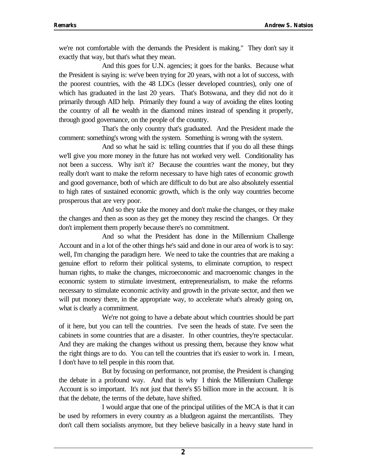we're not comfortable with the demands the President is making." They don't say it exactly that way, but that's what they mean.

And this goes for U.N. agencies; it goes for the banks. Because what the President is saying is: we've been trying for 20 years, with not a lot of success, with the poorest countries, with the 48 LDCs (lesser developed countries), only one of which has graduated in the last 20 years. That's Botswana, and they did not do it primarily through AID help. Primarily they found a way of avoiding the elites looting the country of all the wealth in the diamond mines instead of spending it properly, through good governance, on the people of the country.

That's the only country that's graduated. And the President made the comment: something's wrong with the system. Something is wrong with the system.

And so what he said is: telling countries that if you do all these things we'll give you more money in the future has not worked very well. Conditionality has not been a success. Why isn't it? Because the countries want the money, but they really don't want to make the reform necessary to have high rates of economic growth and good governance, both of which are difficult to do but are also absolutely essential to high rates of sustained economic growth, which is the only way countries become prosperous that are very poor.

And so they take the money and don't make the changes, or they make the changes and then as soon as they get the money they rescind the changes. Or they don't implement them properly because there's no commitment.

And so what the President has done in the Millennium Challenge Account and in a lot of the other things he's said and done in our area of work is to say: well, I'm changing the paradigm here. We need to take the countries that are making a genuine effort to reform their political systems, to eliminate corruption, to respect human rights, to make the changes, microeconomic and macroenomic changes in the economic system to stimulate investment, entrepreneurialism, to make the reforms necessary to stimulate economic activity and growth in the private sector, and then we will put money there, in the appropriate way, to accelerate what's already going on, what is clearly a commitment.

We're not going to have a debate about which countries should be part of it here, but you can tell the countries. I've seen the heads of state. I've seen the cabinets in some countries that are a disaster. In other countries, they're spectacular. And they are making the changes without us pressing them, because they know what the right things are to do. You can tell the countries that it's easier to work in. I mean, I don't have to tell people in this room that.

But by focusing on performance, not promise, the President is changing the debate in a profound way. And that is why I think the Millennium Challenge Account is so important. It's not just that there's \$5 billion more in the account. It is that the debate, the terms of the debate, have shifted.

I would argue that one of the principal utilities of the MCA is that it can be used by reformers in every country as a bludgeon against the mercantilists. They don't call them socialists anymore, but they believe basically in a heavy state hand in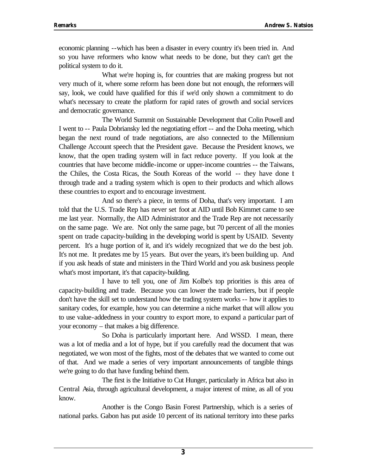economic planning --which has been a disaster in every country it's been tried in. And so you have reformers who know what needs to be done, but they can't get the political system to do it.

What we're hoping is, for countries that are making progress but not very much of it, where some reform has been done but not enough, the reformers will say, look, we could have qualified for this if we'd only shown a commitment to do what's necessary to create the platform for rapid rates of growth and social services and democratic governance.

the Chiles, the Costa Ricas, the South Koreas of the world -- they have done it The World Summit on Sustainable Development that Colin Powell and I went to -- Paula Dobriansky led the negotiating effort -- and the Doha meeting, which began the next round of trade negotiations, are also connected to the Millennium Challenge Account speech that the President gave. Because the President knows, we know, that the open trading system will in fact reduce poverty. If you look at the countries that have become middle-income or upper-income countries -- the Taiwans, through trade and a trading system which is open to their products and which allows these countries to export and to encourage investment.

And so there's a piece, in terms of Doha, that's very important. I am told that the U.S. Trade Rep has never set foot at AID until Bob Kimmet came to see me last year. Normally, the AID Administrator and the Trade Rep are not necessarily on the same page. We are. Not only the same page, but 70 percent of all the monies spent on trade capacity-building in the developing world is spent by USAID. Seventy percent. It's a huge portion of it, and it's widely recognized that we do the best job. It's not me. It predates me by 15 years. But over the years, it's been building up. And if you ask heads of state and ministers in the Third World and you ask business people what's most important, it's that capacity-building.

I have to tell you, one of Jim Kolbe's top priorities is this area of capacity-building and trade. Because you can lower the trade barriers, but if people don't have the skill set to understand how the trading system works -- how it applies to sanitary codes, for example, how you can determine a niche market that will allow you to use value-addedness in your country to export more, to expand a particular part of your economy – that makes a big difference.

So Doha is particularly important here. And WSSD. I mean, there was a lot of media and a lot of hype, but if you carefully read the document that was negotiated, we won most of the fights, most of the debates that we wanted to come out of that. And we made a series of very important announcements of tangible things we're going to do that have funding behind them.

The first is the Initiative to Cut Hunger, particularly in Africa but also in Central Asia, through agricultural development, a major interest of mine, as all of you know.

Another is the Congo Basin Forest Partnership, which is a series of national parks. Gabon has put aside 10 percent of its national territory into these parks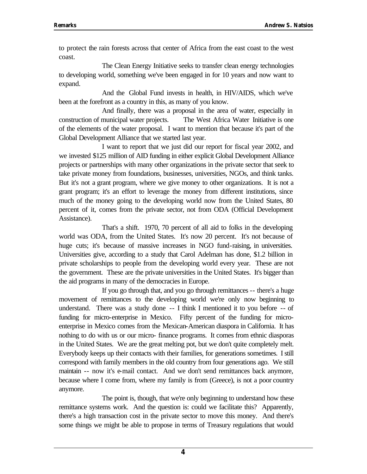to protect the rain forests across that center of Africa from the east coast to the west coast.

The Clean Energy Initiative seeks to transfer clean energy technologies to developing world, something we've been engaged in for 10 years and now want to expand.

And the Global Fund invests in health, in HIV/AIDS, which we've been at the forefront as a country in this, as many of you know.

And finally, there was a proposal in the area of water, especially in construction of municipal water projects. The West Africa Water Initiative is one of the elements of the water proposal. I want to mention that because it's part of the Global Development Alliance that we started last year.

I want to report that we just did our report for fiscal year 2002, and we invested \$125 million of AID funding in either explicit Global Development Alliance projects or partnerships with many other organizations in the private sector that seek to take private money from foundations, businesses, universities, NGOs, and think tanks. But it's not a grant program, where we give money to other organizations. It is not a grant program; it's an effort to leverage the money from different institutions, since much of the money going to the developing world now from the United States, 80 percent of it, comes from the private sector, not from ODA (Official Development Assistance).

That's a shift. 1970, 70 percent of all aid to folks in the developing world was ODA, from the United States. It's now 20 percent. It's not because of huge cuts; it's because of massive increases in NGO fund-raising, in universities. Universities give, according to a study that Carol Adelman has done, \$1.2 billion in private scholarships to people from the developing world every year. These are not the government. These are the private universities in the United States. It's bigger than the aid programs in many of the democracies in Europe.

understand. There was a study done -- I think I mentioned it to you before -- of maintain -- now it's e-mail contact. And we don't send remittances back anymore, If you go through that, and you go through remittances -- there's a huge movement of remittances to the developing world we're only now beginning to funding for micro-enterprise in Mexico. Fifty percent of the funding for microenterprise in Mexico comes from the Mexican-American diaspora in California. It has nothing to do with us or our micro- finance programs. It comes from ethnic diasporas in the United States. We are the great melting pot, but we don't quite completely melt. Everybody keeps up their contacts with their families, for generations sometimes. I still correspond with family members in the old country from four generations ago. We still because where I come from, where my family is from (Greece), is not a poor country anymore.

The point is, though, that we're only beginning to understand how these remittance systems work. And the question is: could we facilitate this? Apparently, there's a high transaction cost in the private sector to move this money. And there's some things we might be able to propose in terms of Treasury regulations that would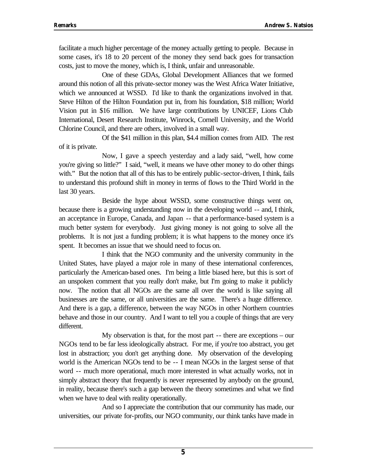facilitate a much higher percentage of the money actually getting to people. Because in some cases, it's 18 to 20 percent of the money they send back goes for transaction costs, just to move the money, which is, I think, unfair and unreasonable.

One of these GDAs, Global Development Alliances that we formed around this notion of all this private-sector money was the West Africa Water Initiative, which we announced at WSSD. I'd like to thank the organizations involved in that. Steve Hilton of the Hilton Foundation put in, from his foundation, \$18 million; World Vision put in \$16 million. We have large contributions by UNICEF, Lions Club International, Desert Research Institute, Winrock, Cornell University, and the World Chlorine Council, and there are others, involved in a small way.

Of the \$41 million in this plan, \$4.4 million comes from AID. The rest of it is private.

Now, I gave a speech yesterday and a lady said, "well, how come you're giving so little?" I said, "well, it means we have other money to do other things with." But the notion that all of this has to be entirely public-sector-driven, I think, fails to understand this profound shift in money in terms of flows to the Third World in the last 30 years.

Beside the hype about WSSD, some constructive things went on, because there is a growing understanding now in the developing world -- and, I think, an acceptance in Europe, Canada, and Japan -- that a performance-based system is a much better system for everybody. Just giving money is not going to solve all the problems. It is not just a funding problem; it is what happens to the money once it's spent. It becomes an issue that we should need to focus on.

I think that the NGO community and the university community in the United States, have played a major role in many of these international conferences, particularly the American-based ones. I'm being a little biased here, but this is sort of an unspoken comment that you really don't make, but I'm going to make it publicly now. The notion that all NGOs are the same all over the world is like saying all businesses are the same, or all universities are the same. There's a huge difference. And there is a gap, a difference, between the way NGOs in other Northern countries behave and those in our country. And I want to tell you a couple of things that are very different.

world is the American NGOs tend to be -- I mean NGOs in the largest sense of that word -- much more operational, much more interested in what actually works, not in My observation is that, for the most part -- there are exceptions – our NGOs tend to be far less ideologically abstract. For me, if you're too abstract, you get lost in abstraction; you don't get anything done. My observation of the developing simply abstract theory that frequently is never represented by anybody on the ground, in reality, because there's such a gap between the theory sometimes and what we find when we have to deal with reality operationally.

And so I appreciate the contribution that our community has made, our universities, our private for-profits, our NGO community, our think tanks have made in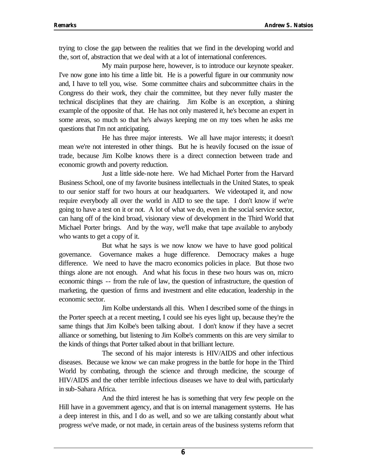trying to close the gap between the realities that we find in the developing world and the, sort of, abstraction that we deal with at a lot of international conferences.

My main purpose here, however, is to introduce our keynote speaker. I've now gone into his time a little bit. He is a powerful figure in our community now and, I have to tell you, wise. Some committee chairs and subcommittee chairs in the Congress do their work, they chair the committee, but they never fully master the technical disciplines that they are chairing. Jim Kolbe is an exception, a shining example of the opposite of that. He has not only mastered it, he's become an expert in some areas, so much so that he's always keeping me on my toes when he asks me questions that I'm not anticipating.

He has three major interests. We all have major interests; it doesn't mean we're not interested in other things. But he is heavily focused on the issue of trade, because Jim Kolbe knows there is a direct connection between trade and economic growth and poverty reduction.

Just a little side-note here. We had Michael Porter from the Harvard Business School, one of my favorite business intellectuals in the United States, to speak to our senior staff for two hours at our headquarters. We videotaped it, and now require everybody all over the world in AID to see the tape. I don't know if we're going to have a test on it or not. A lot of what we do, even in the social service sector, can hang off of the kind broad, visionary view of development in the Third World that Michael Porter brings. And by the way, we'll make that tape available to anybody who wants to get a copy of it.

economic things -- from the rule of law, the question of infrastructure, the question of But what he says is we now know we have to have good political governance. Governance makes a huge difference. Democracy makes a huge difference. We need to have the macro economics policies in place. But those two things alone are not enough. And what his focus in these two hours was on, micro marketing, the question of firms and investment and elite education, leadership in the economic sector.

Jim Kolbe understands all this. When I described some of the things in the Porter speech at a recent meeting, I could see his eyes light up, because they're the same things that Jim Kolbe's been talking about. I don't know if they have a secret alliance or something, but listening to Jim Kolbe's comments on this are very similar to the kinds of things that Porter talked about in that brilliant lecture.

The second of his major interests is HIV/AIDS and other infectious diseases. Because we know we can make progress in the battle for hope in the Third World by combating, through the science and through medicine, the scourge of HIV/AIDS and the other terrible infectious diseases we have to deal with, particularly in sub-Sahara Africa.

And the third interest he has is something that very few people on the Hill have in a government agency, and that is on internal management systems. He has a deep interest in this, and I do as well, and so we are talking constantly about what progress we've made, or not made, in certain areas of the business systems reform that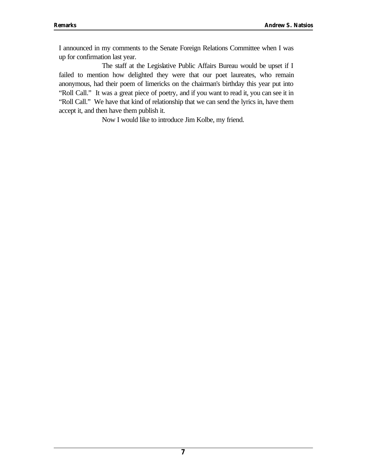I announced in my comments to the Senate Foreign Relations Committee when I was up for confirmation last year.

The staff at the Legislative Public Affairs Bureau would be upset if I failed to mention how delighted they were that our poet laureates, who remain anonymous, had their poem of limericks on the chairman's birthday this year put into "Roll Call." It was a great piece of poetry, and if you want to read it, you can see it in "Roll Call." We have that kind of relationship that we can send the lyrics in, have them accept it, and then have them publish it.

Now I would like to introduce Jim Kolbe, my friend.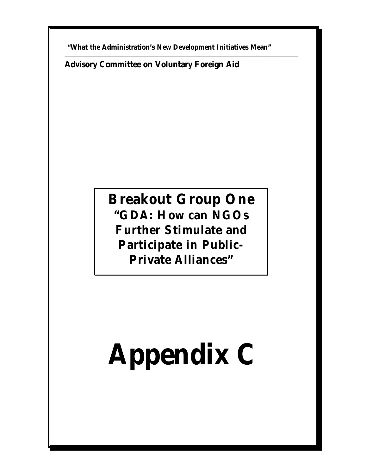**"What the Administration's New Development Initiatives Mean"** 

\_\_\_\_\_\_\_\_\_\_\_\_\_\_\_\_\_\_\_\_\_\_\_\_\_\_\_\_\_\_\_\_\_\_\_\_\_\_\_\_\_\_\_\_\_\_\_\_\_\_\_\_\_\_\_\_\_\_\_\_\_\_\_\_\_\_\_\_\_\_\_\_\_\_\_\_\_\_\_\_\_\_\_\_\_\_\_\_\_\_\_\_\_\_\_\_\_\_\_\_\_\_\_\_\_\_\_\_\_\_\_\_\_\_\_\_\_\_\_\_\_\_\_\_\_\_\_\_\_\_

**Advisory Committee on Voluntary Foreign Aid**

### **Breakout Group One "GDA: How can NGOs Further Stimulate and Participate in Public-Private Alliances"**

## **Appendix C**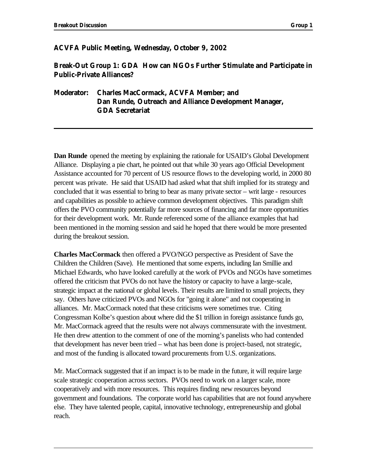### **ACVFA Public Meeting, Wednesday, October 9, 2002**

### **Break-Out Group 1: GDA How can NGOs Further Stimulate and Participate in Public-Private Alliances?**

### **Moderator: Charles MacCormack, ACVFA Member; and Dan Runde, Outreach and Alliance Development Manager, GDA Secretariat**

**Dan Runde** opened the meeting by explaining the rationale for USAID's Global Development Alliance. Displaying a pie chart, he pointed out that while 30 years ago Official Development Assistance accounted for 70 percent of US resource flows to the developing world, in 2000 80 percent was private. He said that USAID had asked what that shift implied for its strategy and concluded that it was essential to bring to bear as many private sector – writ large - resources and capabilities as possible to achieve common development objectives. This paradigm shift offers the PVO community potentially far more sources of financing and far more opportunities for their development work. Mr. Runde referenced some of the alliance examples that had been mentioned in the morning session and said he hoped that there would be more presented during the breakout session.

**Charles MacCormack** then offered a PVO/NGO perspective as President of Save the Children the Children (Save). He mentioned that some experts, including Ian Smillie and Michael Edwards, who have looked carefully at the work of PVOs and NGOs have sometimes offered the criticism that PVOs do not have the history or capacity to have a large-scale, strategic impact at the national or global levels. Their results are limited to small projects, they say. Others have criticized PVOs and NGOs for "going it alone" and not cooperating in alliances. Mr. MacCormack noted that these criticisms were sometimes true. Citing Congressman Kolbe's question about where did the \$1 trillion in foreign assistance funds go, Mr. MacCormack agreed that the results were not always commensurate with the investment. He then drew attention to the comment of one of the morning's panelists who had contended that development has never been tried – what has been done is project-based, not strategic, and most of the funding is allocated toward procurements from U.S. organizations.

Mr. MacCormack suggested that if an impact is to be made in the future, it will require large scale strategic cooperation across sectors. PVOs need to work on a larger scale, more cooperatively and with more resources. This requires finding new resources beyond government and foundations. The corporate world has capabilities that are not found anywhere else. They have talented people, capital, innovative technology, entrepreneurship and global reach.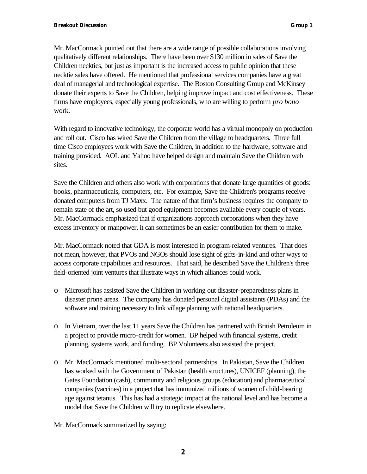Mr. MacCormack pointed out that there are a wide range of possible collaborations involving qualitatively different relationships. There have been over \$130 million in sales of Save the Children neckties, but just as important is the increased access to public opinion that these necktie sales have offered. He mentioned that professional services companies have a great deal of managerial and technological expertise. The Boston Consulting Group and McKinsey donate their experts to Save the Children, helping improve impact and cost effectiveness. These firms have employees, especially young professionals, who are willing to perform *pro bono*  work.

With regard to innovative technology, the corporate world has a virtual monopoly on production and roll out. Cisco has wired Save the Children from the village to headquarters. Three full time Cisco employees work with Save the Children, in addition to the hardware, software and training provided. AOL and Yahoo have helped design and maintain Save the Children web sites.

Save the Children and others also work with corporations that donate large quantities of goods: books, pharmaceuticals, computers, etc. For example, Save the Children's programs receive donated computers from TJ Maxx. The nature of that firm's business requires the company to remain state of the art, so used but good equipment becomes available every couple of years. Mr. MacCormack emphasized that if organizations approach corporations when they have excess inventory or manpower, it can sometimes be an easier contribution for them to make.

Mr. MacCormack noted that GDA is most interested in program-related ventures. That does not mean, however, that PVOs and NGOs should lose sight of gifts-in-kind and other ways to access corporate capabilities and resources. That said, he described Save the Children's three field-oriented joint ventures that illustrate ways in which alliances could work.

- o Microsoft has assisted Save the Children in working out disaster-preparedness plans in disaster prone areas. The company has donated personal digital assistants (PDAs) and the software and training necessary to link village planning with national headquarters.
- o In Vietnam, over the last 11 years Save the Children has partnered with British Petroleum in a project to provide micro-credit for women. BP helped with financial systems, credit planning, systems work, and funding. BP Volunteers also assisted the project.
- o Mr. MacCormack mentioned multi-sectoral partnerships. In Pakistan, Save the Children has worked with the Government of Pakistan (health structures), UNICEF (planning), the Gates Foundation (cash), community and religious groups (education) and pharmaceutical companies (vaccines) in a project that has immunized millions of women of child-bearing age against tetanus. This has had a strategic impact at the national level and has become a model that Save the Children will try to replicate elsewhere.
- Mr. MacCormack summarized by saying: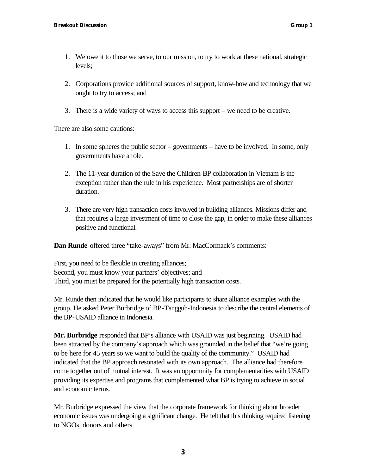- 1. We owe it to those we serve, to our mission, to try to work at these national, strategic levels;
- 2. Corporations provide additional sources of support, know-how and technology that we ought to try to access; and
- 3. There is a wide variety of ways to access this support we need to be creative.

There are also some cautions:

- 1. In some spheres the public sector governments have to be involved. In some, only governments have a role.
- 2. The 11-year duration of the Save the Children-BP collaboration in Vietnam is the exception rather than the rule in his experience. Most partnerships are of shorter duration.
- 3. There are very high transaction costs involved in building alliances. Missions differ and that requires a large investment of time to close the gap, in order to make these alliances positive and functional.

**Dan Runde** offered three "take-aways" from Mr. MacCormack's comments:

First, you need to be flexible in creating alliances; Second, you must know your partners' objectives; and Third, you must be prepared for the potentially high transaction costs.

Mr. Runde then indicated that he would like participants to share alliance examples with the group. He asked Peter Burbridge of BP-Tangguh-Indonesia to describe the central elements of the BP-USAID alliance in Indonesia.

**Mr. Burbridge** responded that BP's alliance with USAID was just beginning. USAID had been attracted by the company's approach which was grounded in the belief that "we're going to be here for 45 years so we want to build the quality of the community." USAID had indicated that the BP approach resonated with its own approach. The alliance had therefore come together out of mutual interest. It was an opportunity for complementarities with USAID providing its expertise and programs that complemented what BP is trying to achieve in social and economic terms.

Mr. Burbridge expressed the view that the corporate framework for thinking about broader economic issues was undergoing a significant change. He felt that this thinking required listening to NGOs, donors and others.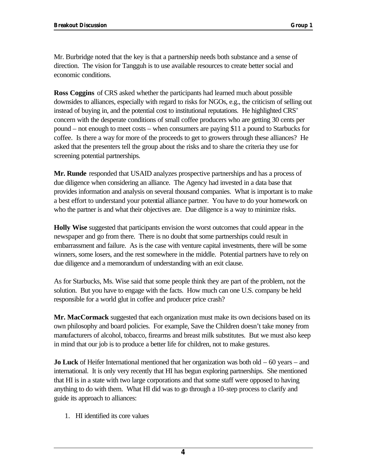Mr. Burbridge noted that the key is that a partnership needs both substance and a sense of direction. The vision for Tangguh is to use available resources to create better social and economic conditions.

**Ross Coggins** of CRS asked whether the participants had learned much about possible downsides to alliances, especially with regard to risks for NGOs, e.g., the criticism of selling out instead of buying in, and the potential cost to institutional reputations. He highlighted CRS' concern with the desperate conditions of small coffee producers who are getting 30 cents per pound – not enough to meet costs – when consumers are paying \$11 a pound to Starbucks for coffee. Is there a way for more of the proceeds to get to growers through these alliances? He asked that the presenters tell the group about the risks and to share the criteria they use for screening potential partnerships.

**Mr. Runde** responded that USAID analyzes prospective partnerships and has a process of due diligence when considering an alliance. The Agency had invested in a data base that provides information and analysis on several thousand companies. What is important is to make a best effort to understand your potential alliance partner. You have to do your homework on who the partner is and what their objectives are. Due diligence is a way to minimize risks.

**Holly Wise** suggested that participants envision the worst outcomes that could appear in the newspaper and go from there. There is no doubt that some partnerships could result in embarrassment and failure. As is the case with venture capital investments, there will be some winners, some losers, and the rest somewhere in the middle. Potential partners have to rely on due diligence and a memorandum of understanding with an exit clause.

As for Starbucks, Ms. Wise said that some people think they are part of the problem, not the solution. But you have to engage with the facts. How much can one U.S. company be held responsible for a world glut in coffee and producer price crash?

**Mr. MacCormack** suggested that each organization must make its own decisions based on its own philosophy and board policies. For example, Save the Children doesn't take money from manufacturers of alcohol, tobacco, firearms and breast milk substitutes. But we must also keep in mind that our job is to produce a better life for children, not to make gestures.

**Jo Luck** of Heifer International mentioned that her organization was both old – 60 years – and international. It is only very recently that HI has begun exploring partnerships. She mentioned that HI is in a state with two large corporations and that some staff were opposed to having anything to do with them. What HI did was to go through a 10-step process to clarify and guide its approach to alliances:

1. HI identified its core values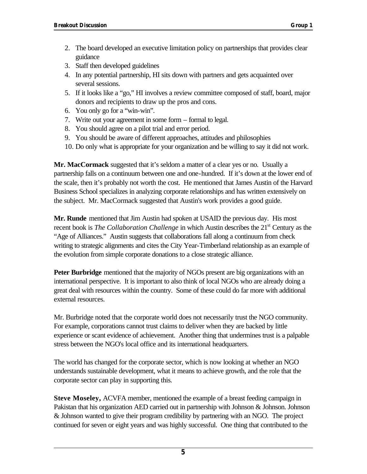- 2. The board developed an executive limitation policy on partnerships that provides clear guidance
- 3. Staff then developed guidelines
- 4. In any potential partnership, HI sits down with partners and gets acquainted over several sessions.
- 5. If it looks like a "go," HI involves a review committee composed of staff, board, major donors and recipients to draw up the pros and cons.
- 6. You only go for a "win-win".
- 7. Write out your agreement in some form formal to legal.
- 8. You should agree on a pilot trial and error period.
- 9. You should be aware of different approaches, attitudes and philosophies
- 10. Do only what is appropriate for your organization and be willing to say it did not work.

**Mr. MacCormack** suggested that it's seldom a matter of a clear yes or no. Usually a partnership falls on a continuum between one and one-hundred. If it's down at the lower end of the scale, then it's probably not worth the cost. He mentioned that James Austin of the Harvard Business School specializes in analyzing corporate relationships and has written extensively on the subject. Mr. MacCormack suggested that Austin's work provides a good guide.

**Mr. Runde** mentioned that Jim Austin had spoken at USAID the previous day. His most recent book is *The Collaboration Challenge* in which Austin describes the 21<sup>st</sup> Century as the "Age of Alliances." Austin suggests that collaborations fall along a continuum from check writing to strategic alignments and cites the City Year-Timberland relationship as an example of the evolution from simple corporate donations to a close strategic alliance.

**Peter Burbridge** mentioned that the majority of NGOs present are big organizations with an international perspective. It is important to also think of local NGOs who are already doing a great deal with resources within the country. Some of these could do far more with additional external resources.

Mr. Burbridge noted that the corporate world does not necessarily trust the NGO community. For example, corporations cannot trust claims to deliver when they are backed by little experience or scant evidence of achievement. Another thing that undermines trust is a palpable stress between the NGO's local office and its international headquarters.

The world has changed for the corporate sector, which is now looking at whether an NGO understands sustainable development, what it means to achieve growth, and the role that the corporate sector can play in supporting this.

**Steve Moseley,** ACVFA member, mentioned the example of a breast feeding campaign in Pakistan that his organization AED carried out in partnership with Johnson & Johnson. Johnson & Johnson wanted to give their program credibility by partnering with an NGO. The project continued for seven or eight years and was highly successful. One thing that contributed to the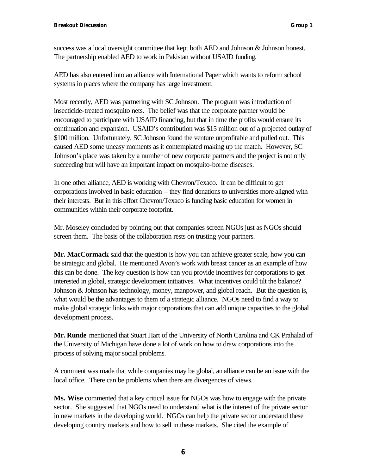success was a local oversight committee that kept both AED and Johnson & Johnson honest. The partnership enabled AED to work in Pakistan without USAID funding.

AED has also entered into an alliance with International Paper which wants to reform school systems in places where the company has large investment.

Most recently, AED was partnering with SC Johnson. The program was introduction of insecticide-treated mosquito nets. The belief was that the corporate partner would be encouraged to participate with USAID financing, but that in time the profits would ensure its continuation and expansion. USAID's contribution was \$15 million out of a projected outlay of \$100 million. Unfortunately, SC Johnson found the venture unprofitable and pulled out. This caused AED some uneasy moments as it contemplated making up the match. However, SC Johnson's place was taken by a number of new corporate partners and the project is not only succeeding but will have an important impact on mosquito-borne diseases.

In one other alliance, AED is working with Chevron/Texaco. It can be difficult to get corporations involved in basic education – they find donations to universities more aligned with their interests. But in this effort Chevron/Texaco is funding basic education for women in communities within their corporate footprint.

Mr. Moseley concluded by pointing out that companies screen NGOs just as NGOs should screen them. The basis of the collaboration rests on trusting your partners.

**Mr. MacCormack** said that the question is how you can achieve greater scale, how you can be strategic and global. He mentioned Avon's work with breast cancer as an example of how this can be done. The key question is how can you provide incentives for corporations to get interested in global, strategic development initiatives. What incentives could tilt the balance? Johnson & Johnson has technology, money, manpower, and global reach. But the question is, what would be the advantages to them of a strategic alliance. NGOs need to find a way to make global strategic links with major corporations that can add unique capacities to the global development process.

**Mr. Runde** mentioned that Stuart Hart of the University of North Carolina and CK Prahalad of the University of Michigan have done a lot of work on how to draw corporations into the process of solving major social problems.

A comment was made that while companies may be global, an alliance can be an issue with the local office. There can be problems when there are divergences of views.

**Ms. Wise** commented that a key critical issue for NGOs was how to engage with the private sector. She suggested that NGOs need to understand what is the interest of the private sector in new markets in the developing world. NGOs can help the private sector understand these developing country markets and how to sell in these markets. She cited the example of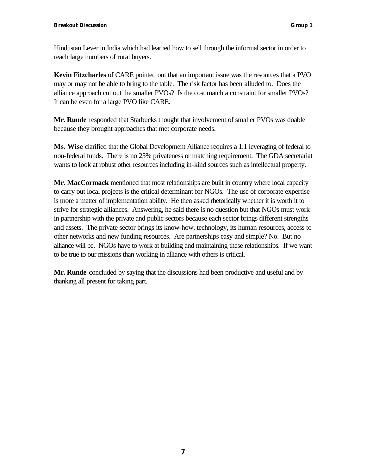Hindustan Lever in India which had learned how to sell through the informal sector in order to reach large numbers of rural buyers.

**Kevin Fitzcharles** of CARE pointed out that an important issue was the resources that a PVO may or may not be able to bring to the table. The risk factor has been alluded to. Does the alliance approach cut out the smaller PVOs? Is the cost match a constraint for smaller PVOs? It can be even for a large PVO like CARE.

**Mr. Runde** responded that Starbucks thought that involvement of smaller PVOs was doable because they brought approaches that met corporate needs.

**Ms. Wise** clarified that the Global Development Alliance requires a 1:1 leveraging of federal to non-federal funds. There is no 25% privateness or matching requirement. The GDA secretariat wants to look at robust other resources including in-kind sources such as intellectual property.

**Mr. MacCormack** mentioned that most relationships are built in country where local capacity to carry out local projects is the critical determinant for NGOs. The use of corporate expertise is more a matter of implementation ability. He then asked rhetorically whether it is worth it to strive for strategic alliances. Answering, he said there is no question but that NGOs must work in partnership with the private and public sectors because each sector brings different strengths and assets. The private sector brings its know-how, technology, its human resources, access to other networks and new funding resources. Are partnerships easy and simple? No. But no alliance will be. NGOs have to work at building and maintaining these relationships. If we want to be true to our missions than working in alliance with others is critical.

**Mr. Runde** concluded by saying that the discussions had been productive and useful and by thanking all present for taking part.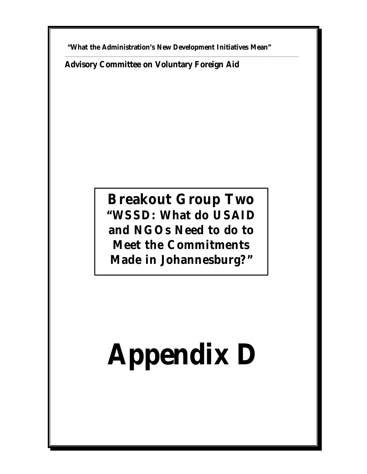**"What the Administration's New Development Initiatives Mean"** 

\_\_\_\_\_\_\_\_\_\_\_\_\_\_\_\_\_\_\_\_\_\_\_\_\_\_\_\_\_\_\_\_\_\_\_\_\_\_\_\_\_\_\_\_\_\_\_\_\_\_\_\_\_\_\_\_\_\_\_\_\_\_\_\_\_\_\_\_\_\_\_\_\_\_\_\_\_\_\_\_\_\_\_\_\_\_\_\_\_\_\_\_\_\_\_\_\_\_\_\_\_\_\_\_\_\_\_\_\_\_\_\_\_\_\_\_\_\_\_\_\_\_\_\_\_\_\_\_\_\_

**Advisory Committee on Voluntary Foreign Aid**

### **Breakout Group Two "WSSD: What do USAID and NGOs Need to do to Meet the Commitments Made in Johannesburg?"**

## **Appendix D**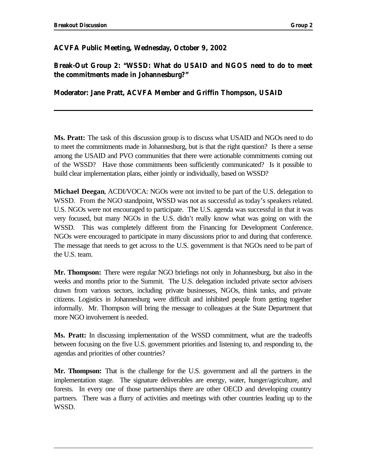### **ACVFA Public Meeting, Wednesday, October 9, 2002**

**Break-Out Group 2: "WSSD: What do USAID and NGOS need to do to meet the commitments made in Johannesburg?"** 

### **Moderator: Jane Pratt, ACVFA Member and Griffin Thompson, USAID**

**Ms. Pratt:** The task of this discussion group is to discuss what USAID and NGOs need to do to meet the commitments made in Johannesburg, but is that the right question? Is there a sense among the USAID and PVO communities that there were actionable commitments coming out of the WSSD? Have those commitments been sufficiently communicated? Is it possible to build clear implementation plans, either jointly or individually, based on WSSD?

**Michael Deegan**, ACDI/VOCA: NGOs were not invited to be part of the U.S. delegation to WSSD. From the NGO standpoint, WSSD was not as successful as today's speakers related. U.S. NGOs were not encouraged to participate. The U.S. agenda was successful in that it was very focused, but many NGOs in the U.S. didn't really know what was going on with the WSSD. This was completely different from the Financing for Development Conference. NGOs were encouraged to participate in many discussions prior to and during that conference. The message that needs to get across to the U.S. government is that NGOs need to be part of the U.S. team.

**Mr. Thompson:** There were regular NGO briefings not only in Johannesburg, but also in the weeks and months prior to the Summit. The U.S. delegation included private sector advisers drawn from various sectors, including private businesses, NGOs, think tanks, and private citizens. Logistics in Johannesburg were difficult and inhibited people from getting together informally. Mr. Thompson will bring the message to colleagues at the State Department that more NGO involvement is needed.

**Ms. Pratt:** In discussing implementation of the WSSD commitment, what are the tradeoffs between focusing on the five U.S. government priorities and listening to, and responding to, the agendas and priorities of other countries?

**Mr. Thompson:** That is the challenge for the U.S. government and all the partners in the implementation stage. The signature deliverables are energy, water, hunger/agriculture, and forests. In every one of those partnerships there are other OECD and developing country partners. There was a flurry of activities and meetings with other countries leading up to the WSSD.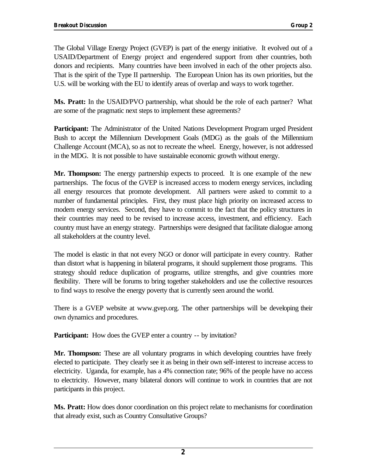The Global Village Energy Project (GVEP) is part of the energy initiative. It evolved out of a USAID/Department of Energy project and engendered support from other countries, both donors and recipients. Many countries have been involved in each of the other projects also. That is the spirit of the Type II partnership. The European Union has its own priorities, but the U.S. will be working with the EU to identify areas of overlap and ways to work together.

**Ms. Pratt:** In the USAID/PVO partnership, what should be the role of each partner? What are some of the pragmatic next steps to implement these agreements?

**Participant:** The Administrator of the United Nations Development Program urged President Bush to accept the Millennium Development Goals (MDG) as the goals of the Millennium Challenge Account (MCA), so as not to recreate the wheel. Energy, however, is not addressed in the MDG. It is not possible to have sustainable economic growth without energy.

**Mr. Thompson:** The energy partnership expects to proceed. It is one example of the new partnerships. The focus of the GVEP is increased access to modern energy services, including all energy resources that promote development. All partners were asked to commit to a number of fundamental principles. First, they must place high priority on increased access to modern energy services. Second, they have to commit to the fact that the policy structures in their countries may need to be revised to increase access, investment, and efficiency. Each country must have an energy strategy. Partnerships were designed that facilitate dialogue among all stakeholders at the country level.

The model is elastic in that not every NGO or donor will participate in every country. Rather than distort what is happening in bilateral programs, it should supplement those programs. This strategy should reduce duplication of programs, utilize strengths, and give countries more flexibility. There will be forums to bring together stakeholders and use the collective resources to find ways to resolve the energy poverty that is currently seen around the world.

There is a GVEP website at www.gvep.org. The other partnerships will be developing their own dynamics and procedures.

**Participant:** How does the GVEP enter a country -- by invitation?

**Mr. Thompson:** These are all voluntary programs in which developing countries have freely elected to participate. They clearly see it as being in their own self-interest to increase access to electricity. Uganda, for example, has a 4% connection rate; 96% of the people have no access to electricity. However, many bilateral donors will continue to work in countries that are not participants in this project.

**Ms. Pratt:** How does donor coordination on this project relate to mechanisms for coordination that already exist, such as Country Consultative Groups?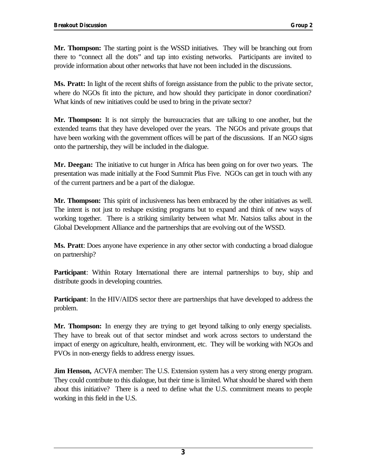**Mr. Thompson:** The starting point is the WSSD initiatives. They will be branching out from there to "connect all the dots" and tap into existing networks. Participants are invited to provide information about other networks that have not been included in the discussions.

**Ms. Pratt:** In light of the recent shifts of foreign assistance from the public to the private sector, where do NGOs fit into the picture, and how should they participate in donor coordination? What kinds of new initiatives could be used to bring in the private sector?

**Mr. Thompson:** It is not simply the bureaucracies that are talking to one another, but the extended teams that they have developed over the years. The NGOs and private groups that have been working with the government offices will be part of the discussions. If an NGO signs onto the partnership, they will be included in the dialogue.

**Mr. Deegan:** The initiative to cut hunger in Africa has been going on for over two years. The presentation was made initially at the Food Summit Plus Five. NGOs can get in touch with any of the current partners and be a part of the dialogue.

**Mr. Thompson:** This spirit of inclusiveness has been embraced by the other initiatives as well. The intent is not just to reshape existing programs but to expand and think of new ways of working together. There is a striking similarity between what Mr. Natsios talks about in the Global Development Alliance and the partnerships that are evolving out of the WSSD.

**Ms. Pratt**: Does anyone have experience in any other sector with conducting a broad dialogue on partnership?

**Participant**: Within Rotary International there are internal partnerships to buy, ship and distribute goods in developing countries.

**Participant**: In the HIV/AIDS sector there are partnerships that have developed to address the problem.

**Mr. Thompson:** In energy they are trying to get beyond talking to only energy specialists. They have to break out of that sector mindset and work across sectors to understand the impact of energy on agriculture, health, environment, etc. They will be working with NGOs and PVOs in non-energy fields to address energy issues.

**Jim Henson, ACVFA** member: The U.S. Extension system has a very strong energy program. They could contribute to this dialogue, but their time is limited. What should be shared with them about this initiative? There is a need to define what the U.S. commitment means to people working in this field in the U.S.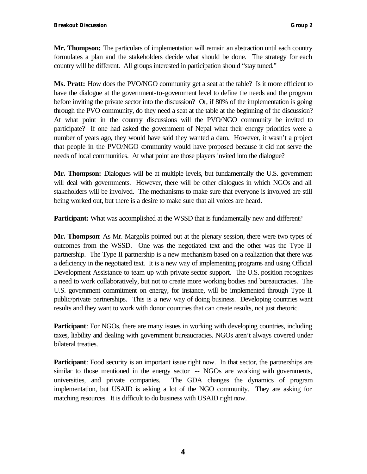**Mr. Thompson:** The particulars of implementation will remain an abstraction until each country formulates a plan and the stakeholders decide what should be done. The strategy for each country will be different. All groups interested in participation should "stay tuned."

**Ms. Pratt:** How does the PVO/NGO community get a seat at the table? Is it more efficient to have the dialogue at the government-to-government level to define the needs and the program before inviting the private sector into the discussion? Or, if 80% of the implementation is going through the PVO community, do they need a seat at the table at the beginning of the discussion? At what point in the country discussions will the PVO/NGO community be invited to participate? If one had asked the government of Nepal what their energy priorities were a number of years ago, they would have said they wanted a dam. However, it wasn't a project that people in the PVO/NGO community would have proposed because it did not serve the needs of local communities. At what point are those players invited into the dialogue?

**Mr. Thompson:** Dialogues will be at multiple levels, but fundamentally the U.S. government will deal with governments. However, there will be other dialogues in which NGOs and all stakeholders will be involved. The mechanisms to make sure that everyone is involved are still being worked out, but there is a desire to make sure that all voices are heard.

**Participant:** What was accomplished at the WSSD that is fundamentally new and different?

**Mr. Thompson**: As Mr. Margolis pointed out at the plenary session, there were two types of outcomes from the WSSD. One was the negotiated text and the other was the Type II partnership. The Type II partnership is a new mechanism based on a realization that there was a deficiency in the negotiated text. It is a new way of implementing programs and using Official Development Assistance to team up with private sector support. The U.S. position recognizes a need to work collaboratively, but not to create more working bodies and bureaucracies. The U.S. government commitment on energy, for instance, will be implemented through Type II public/private partnerships. This is a new way of doing business. Developing countries want results and they want to work with donor countries that can create results, not just rhetoric.

**Participant**: For NGOs, there are many issues in working with developing countries, including taxes, liability and dealing with government bureaucracies. NGOs aren't always covered under bilateral treaties.

similar to those mentioned in the energy sector -- NGOs are working with governments, **Participant**: Food security is an important issue right now. In that sector, the partnerships are universities, and private companies. The GDA changes the dynamics of program implementation, but USAID is asking a lot of the NGO community. They are asking for matching resources. It is difficult to do business with USAID right now.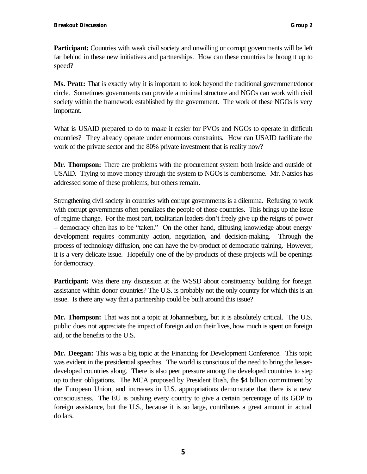**Participant:** Countries with weak civil society and unwilling or corrupt governments will be left far behind in these new initiatives and partnerships. How can these countries be brought up to speed?

**Ms. Pratt:** That is exactly why it is important to look beyond the traditional government/donor circle. Sometimes governments can provide a minimal structure and NGOs can work with civil society within the framework established by the government. The work of these NGOs is very important.

What is USAID prepared to do to make it easier for PVOs and NGOs to operate in difficult countries? They already operate under enormous constraints. How can USAID facilitate the work of the private sector and the 80% private investment that is reality now?

**Mr. Thompson:** There are problems with the procurement system both inside and outside of USAID. Trying to move money through the system to NGOs is cumbersome. Mr. Natsios has addressed some of these problems, but others remain.

Strengthening civil society in countries with corrupt governments is a dilemma. Refusing to work with corrupt governments often penalizes the people of those countries. This brings up the issue of regime change. For the most part, totalitarian leaders don't freely give up the reigns of power – democracy often has to be "taken." On the other hand, diffusing knowledge about energy development requires community action, negotiation, and decision-making. Through the process of technology diffusion, one can have the by-product of democratic training. However, it is a very delicate issue. Hopefully one of the by-products of these projects will be openings for democracy.

**Participant:** Was there any discussion at the WSSD about constituency building for foreign assistance within donor countries? The U.S. is probably not the only country for which this is an issue. Is there any way that a partnership could be built around this issue?

**Mr. Thompson:** That was not a topic at Johannesburg, but it is absolutely critical. The U.S. public does not appreciate the impact of foreign aid on their lives, how much is spent on foreign aid, or the benefits to the U.S.

**Mr. Deegan:** This was a big topic at the Financing for Development Conference. This topic was evident in the presidential speeches. The world is conscious of the need to bring the lesserdeveloped countries along. There is also peer pressure among the developed countries to step up to their obligations. The MCA proposed by President Bush, the \$4 billion commitment by the European Union, and increases in U.S. appropriations demonstrate that there is a new consciousness. The EU is pushing every country to give a certain percentage of its GDP to foreign assistance, but the U.S., because it is so large, contributes a great amount in actual dollars.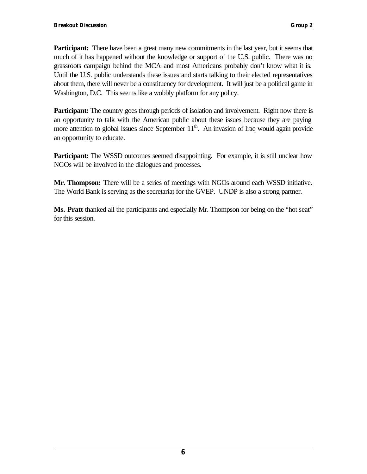**Participant:** There have been a great many new commitments in the last year, but it seems that much of it has happened without the knowledge or support of the U.S. public. There was no grassroots campaign behind the MCA and most Americans probably don't know what it is. Until the U.S. public understands these issues and starts talking to their elected representatives about them, there will never be a constituency for development. It will just be a political game in Washington, D.C. This seems like a wobbly platform for any policy.

**Participant:** The country goes through periods of isolation and involvement. Right now there is an opportunity to talk with the American public about these issues because they are paying more attention to global issues since September  $11<sup>th</sup>$ . An invasion of Iraq would again provide an opportunity to educate.

**Participant:** The WSSD outcomes seemed disappointing. For example, it is still unclear how NGOs will be involved in the dialogues and processes.

**Mr. Thompson:** There will be a series of meetings with NGOs around each WSSD initiative. The World Bank is serving as the secretariat for the GVEP. UNDP is also a strong partner.

**Ms. Pratt** thanked all the participants and especially Mr. Thompson for being on the "hot seat" for this session.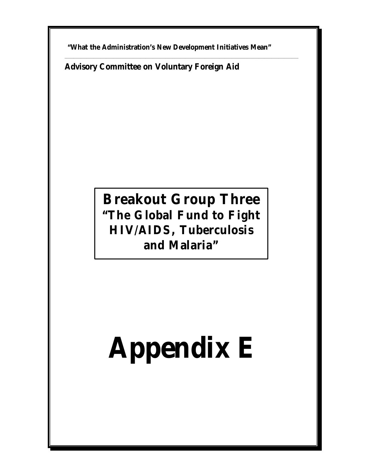**"What the Administration's New Development Initiatives Mean"** 

\_\_\_\_\_\_\_\_\_\_\_\_\_\_\_\_\_\_\_\_\_\_\_\_\_\_\_\_\_\_\_\_\_\_\_\_\_\_\_\_\_\_\_\_\_\_\_\_\_\_\_\_\_\_\_\_\_\_\_\_\_\_\_\_\_\_\_\_\_\_\_\_\_\_\_\_\_\_\_\_\_\_\_\_\_\_\_\_\_\_\_\_\_\_\_\_\_\_\_\_\_\_\_\_\_\_\_\_\_\_\_\_\_\_\_\_\_\_\_\_\_\_\_\_\_\_\_\_\_\_

**Advisory Committee on Voluntary Foreign Aid** 

### **Breakout Group Three "The Global Fund to Fight HIV/AIDS, Tuberculosis and Malaria"**

# **Appendix E**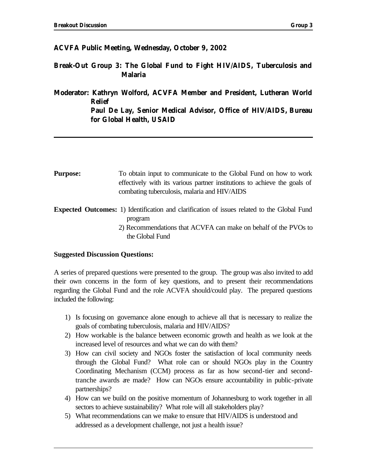### **ACVFA Public Meeting, Wednesday, October 9, 2002**

**Break-Out Group 3: The Global Fund to Fight HIV/AIDS, Tuberculosis and Malaria** 

**Moderator: Kathryn Wolford, ACVFA Member and President, Lutheran World Relief Paul De Lay, Senior Medical Advisor, Office of HIV/AIDS, Bureau for Global Health, USAID** 

- **Purpose:** To obtain input to communicate to the Global Fund on how to work effectively with its various partner institutions to achieve the goals of combating tuberculosis, malaria and HIV/AIDS
- **Expected Outcomes:** 1) Identification and clarification of issues related to the Global Fund program
	- 2) Recommendations that ACVFA can make on behalf of the PVOs to the Global Fund

### **Suggested Discussion Questions:**

A series of prepared questions were presented to the group. The group was also invited to add their own concerns in the form of key questions, and to present their recommendations regarding the Global Fund and the role ACVFA should/could play. The prepared questions included the following:

- 1) Is focusing on governance alone enough to achieve all that is necessary to realize the goals of combating tuberculosis, malaria and HIV/AIDS?
- 2) How workable is the balance between economic growth and health as we look at the increased level of resources and what we can do with them?
- 3) How can civil society and NGOs foster the satisfaction of local community needs through the Global Fund? What role can or should NGOs play in the Country Coordinating Mechanism (CCM) process as far as how second-tier and secondtranche awards are made? How can NGOs ensure accountability in public-private partnerships?
- 4) How can we build on the positive momentum of Johannesburg to work together in all sectors to achieve sustainability? What role will all stakeholders play?
- 5) What recommendations can we make to ensure that HIV/AIDS is understood and addressed as a development challenge, not just a health issue?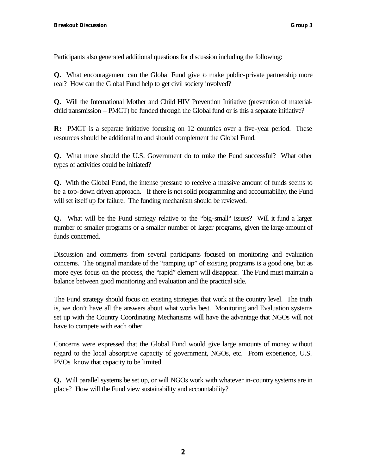Participants also generated additional questions for discussion including the following:

**Q.** What encouragement can the Global Fund give to make public-private partnership more real? How can the Global Fund help to get civil society involved?

**Q.** Will the International Mother and Child HIV Prevention Initiative (prevention of materialchild transmission – PMCT) be funded through the Global fund or is this a separate initiative?

**R:** PMCT is a separate initiative focusing on 12 countries over a five-year period. These resources should be additional to and should complement the Global Fund.

**Q.** What more should the U.S. Government do to make the Fund successful? What other types of activities could be initiated?

**Q.** With the Global Fund, the intense pressure to receive a massive amount of funds seems to be a top-down driven approach. If there is not solid programming and accountability, the Fund will set itself up for failure. The funding mechanism should be reviewed.

**Q.** What will be the Fund strategy relative to the "big-small" issues? Will it fund a larger number of smaller programs or a smaller number of larger programs, given the large amount of funds concerned.

Discussion and comments from several participants focused on monitoring and evaluation concerns. The original mandate of the "ramping up" of existing programs is a good one, but as more eyes focus on the process, the "rapid" element will disappear. The Fund must maintain a balance between good monitoring and evaluation and the practical side.

The Fund strategy should focus on existing strategies that work at the country level. The truth is, we don't have all the answers about what works best. Monitoring and Evaluation systems set up with the Country Coordinating Mechanisms will have the advantage that NGOs will not have to compete with each other.

Concerns were expressed that the Global Fund would give large amounts of money without regard to the local absorptive capacity of government, NGOs, etc. From experience, U.S. PVOs know that capacity to be limited.

**Q.** Will parallel systems be set up, or will NGOs work with whatever in-country systems are in place? How will the Fund view sustainability and accountability?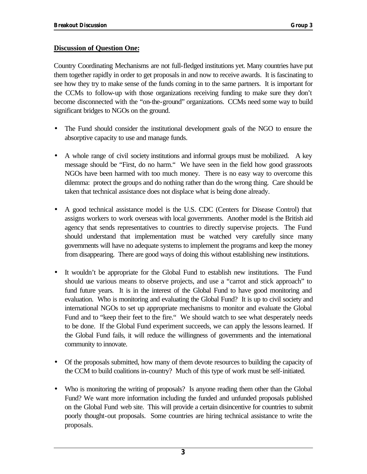### **Discussion of Question One:**

Country Coordinating Mechanisms are not full-fledged institutions yet. Many countries have put them together rapidly in order to get proposals in and now to receive awards. It is fascinating to see how they try to make sense of the funds coming in to the same partners. It is important for the CCMs to follow-up with those organizations receiving funding to make sure they don't become disconnected with the "on-the-ground" organizations. CCMs need some way to build significant bridges to NGOs on the ground.

- The Fund should consider the institutional development goals of the NGO to ensure the absorptive capacity to use and manage funds.
- A whole range of civil society institutions and informal groups must be mobilized. A key message should be "First, do no harm." We have seen in the field how good grassroots NGOs have been harmed with too much money. There is no easy way to overcome this dilemma: protect the groups and do nothing rather than do the wrong thing. Care should be taken that technical assistance does not displace what is being done already.
- A good technical assistance model is the U.S. CDC (Centers for Disease Control) that assigns workers to work overseas with local governments. Another model is the British aid agency that sends representatives to countries to directly supervise projects. The Fund should understand that implementation must be watched very carefully since many governments will have no adequate systems to implement the programs and keep the money from disappearing. There are good ways of doing this without establishing new institutions.
- It wouldn't be appropriate for the Global Fund to establish new institutions. The Fund should use various means to observe projects, and use a "carrot and stick approach" to fund future years. It is in the interest of the Global Fund to have good monitoring and evaluation. Who is monitoring and evaluating the Global Fund? It is up to civil society and international NGOs to set up appropriate mechanisms to monitor and evaluate the Global Fund and to "keep their feet to the fire." We should watch to see what desperately needs to be done. If the Global Fund experiment succeeds, we can apply the lessons learned. If the Global Fund fails, it will reduce the willingness of governments and the international community to innovate.
- Of the proposals submitted, how many of them devote resources to building the capacity of the CCM to build coalitions in-country? Much of this type of work must be self-initiated.
- Who is monitoring the writing of proposals? Is anyone reading them other than the Global Fund? We want more information including the funded and unfunded proposals published on the Global Fund web site. This will provide a certain disincentive for countries to submit poorly thought-out proposals. Some countries are hiring technical assistance to write the proposals.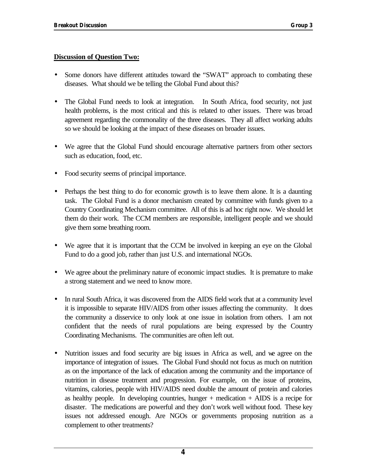### **Discussion of Question Two:**

- Some donors have different attitudes toward the "SWAT" approach to combating these diseases. What should we be telling the Global Fund about this?
- The Global Fund needs to look at integration. In South Africa, food security, not just health problems, is the most critical and this is related to other issues. There was broad agreement regarding the commonality of the three diseases. They all affect working adults so we should be looking at the impact of these diseases on broader issues.
- We agree that the Global Fund should encourage alternative partners from other sectors such as education, food, etc.
- Food security seems of principal importance.
- Perhaps the best thing to do for economic growth is to leave them alone. It is a daunting task. The Global Fund is a donor mechanism created by committee with funds given to a Country Coordinating Mechanism committee. All of this is ad hoc right now. We should let them do their work. The CCM members are responsible, intelligent people and we should give them some breathing room.
- We agree that it is important that the CCM be involved in keeping an eye on the Global Fund to do a good job, rather than just U.S. and international NGOs.
- We agree about the preliminary nature of economic impact studies. It is premature to make a strong statement and we need to know more.
- In rural South Africa, it was discovered from the AIDS field work that at a community level it is impossible to separate HIV/AIDS from other issues affecting the community. It does the community a disservice to only look at one issue in isolation from others. I am not confident that the needs of rural populations are being expressed by the Country Coordinating Mechanisms. The communities are often left out.
- Nutrition issues and food security are big issues in Africa as well, and we agree on the importance of integration of issues. The Global Fund should not focus as much on nutrition as on the importance of the lack of education among the community and the importance of nutrition in disease treatment and progression. For example, on the issue of proteins, vitamins, calories, people with HIV/AIDS need double the amount of protein and calories as healthy people. In developing countries, hunger  $+$  medication  $+$  AIDS is a recipe for disaster. The medications are powerful and they don't work well without food. These key issues not addressed enough. Are NGOs or governments proposing nutrition as a complement to other treatments?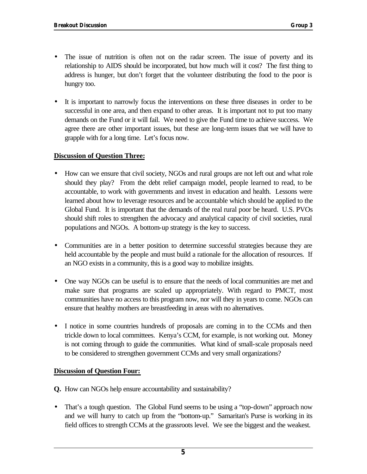- The issue of nutrition is often not on the radar screen. The issue of poverty and its relationship to AIDS should be incorporated, but how much will it cost? The first thing to address is hunger, but don't forget that the volunteer distributing the food to the poor is hungry too.
- It is important to narrowly focus the interventions on these three diseases in order to be successful in one area, and then expand to other areas. It is important not to put too many demands on the Fund or it will fail. We need to give the Fund time to achieve success. We agree there are other important issues, but these are long-term issues that we will have to grapple with for a long time. Let's focus now.

### **Discussion of Question Three:**

- How can we ensure that civil society, NGOs and rural groups are not left out and what role should they play? From the debt relief campaign model, people learned to read, to be accountable, to work with governments and invest in education and health. Lessons were learned about how to leverage resources and be accountable which should be applied to the Global Fund. It is important that the demands of the real rural poor be heard. U.S. PVOs should shift roles to strengthen the advocacy and analytical capacity of civil societies, rural populations and NGOs. A bottom-up strategy is the key to success.
- Communities are in a better position to determine successful strategies because they are held accountable by the people and must build a rationale for the allocation of resources. If an NGO exists in a community, this is a good way to mobilize insights.
- One way NGOs can be useful is to ensure that the needs of local communities are met and make sure that programs are scaled up appropriately. With regard to PMCT, most communities have no access to this program now, nor will they in years to come. NGOs can ensure that healthy mothers are breastfeeding in areas with no alternatives.
- I notice in some countries hundreds of proposals are coming in to the CCMs and then trickle down to local committees. Kenya's CCM, for example, is not working out. Money is not coming through to guide the communities. What kind of small-scale proposals need to be considered to strengthen government CCMs and very small organizations?

### **Discussion of Question Four:**

**Q.** How can NGOs help ensure accountability and sustainability?

• That's a tough question. The Global Fund seems to be using a "top-down" approach now and we will hurry to catch up from the "bottom-up." Samaritan's Purse is working in its field offices to strength CCMs at the grassroots level. We see the biggest and the weakest.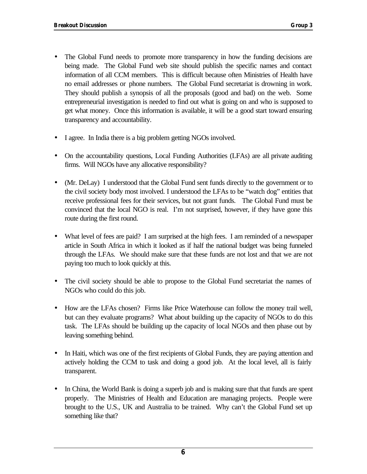- The Global Fund needs to promote more transparency in how the funding decisions are being made. The Global Fund web site should publish the specific names and contact information of all CCM members. This is difficult because often Ministries of Health have no email addresses or phone numbers. The Global Fund secretariat is drowning in work. They should publish a synopsis of all the proposals (good and bad) on the web. Some entrepreneurial investigation is needed to find out what is going on and who is supposed to get what money. Once this information is available, it will be a good start toward ensuring transparency and accountability.
- I agree. In India there is a big problem getting NGOs involved.
- On the accountability questions, Local Funding Authorities (LFAs) are all private auditing firms. Will NGOs have any allocative responsibility?
- (Mr. DeLay) I understood that the Global Fund sent funds directly to the government or to the civil society body most involved. I understood the LFAs to be "watch dog" entities that receive professional fees for their services, but not grant funds. The Global Fund must be convinced that the local NGO is real. I'm not surprised, however, if they have gone this route during the first round.
- What level of fees are paid? I am surprised at the high fees. I am reminded of a newspaper article in South Africa in which it looked as if half the national budget was being funneled through the LFAs. We should make sure that these funds are not lost and that we are not paying too much to look quickly at this.
- The civil society should be able to propose to the Global Fund secretariat the names of NGOs who could do this job.
- How are the LFAs chosen? Firms like Price Waterhouse can follow the money trail well, but can they evaluate programs? What about building up the capacity of NGOs to do this task. The LFAs should be building up the capacity of local NGOs and then phase out by leaving something behind.
- In Haiti, which was one of the first recipients of Global Funds, they are paying attention and actively holding the CCM to task and doing a good job. At the local level, all is fairly transparent.
- In China, the World Bank is doing a superb job and is making sure that that funds are spent properly. The Ministries of Health and Education are managing projects. People were brought to the U.S., UK and Australia to be trained. Why can't the Global Fund set up something like that?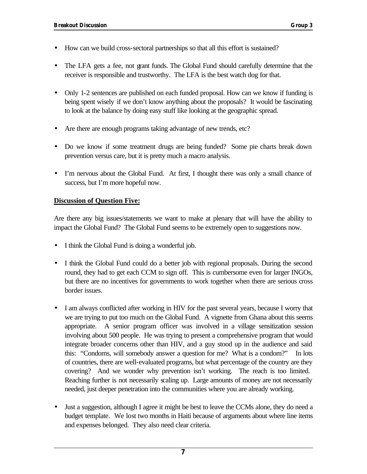- How can we build cross-sectoral partnerships so that all this effort is sustained?
- The LFA gets a fee, not grant funds. The Global Fund should carefully determine that the receiver is responsible and trustworthy. The LFA is the best watch dog for that.
- Only 1-2 sentences are published on each funded proposal. How can we know if funding is being spent wisely if we don't know anything about the proposals? It would be fascinating to look at the balance by doing easy stuff like looking at the geographic spread.
- Are there are enough programs taking advantage of new trends, etc?
- Do we know if some treatment drugs are being funded? Some pie charts break down prevention versus care, but it is pretty much a macro analysis.
- I'm nervous about the Global Fund. At first, I thought there was only a small chance of success, but I'm more hopeful now.

## **Discussion of Question Five:**

Are there any big issues/statements we want to make at plenary that will have the ability to impact the Global Fund? The Global Fund seems to be extremely open to suggestions now.

- I think the Global Fund is doing a wonderful job.
- I think the Global Fund could do a better job with regional proposals. During the second round, they had to get each CCM to sign off. This is cumbersome even for larger INGOs, but there are no incentives for governments to work together when there are serious cross border issues.
- I am always conflicted after working in HIV for the past several years, because I worry that we are trying to put too much on the Global Fund. A vignette from Ghana about this seems appropriate. A senior program officer was involved in a village sensitization session involving about 500 people. He was trying to present a comprehensive program that would integrate broader concerns other than HIV, and a guy stood up in the audience and said this: "Condoms, will somebody answer a question for me? What is a condom?" In lots of countries, there are well-evaluated programs, but what percentage of the country are they covering? And we wonder why prevention isn't working. The reach is too limited. Reaching further is not necessarily scaling up. Large amounts of money are not necessarily needed, just deeper penetration into the communities where you are already working.
- Just a suggestion, although I agree it might be best to leave the CCMs alone, they do need a budget template. We lost two months in Haiti because of arguments about where line items and expenses belonged. They also need clear criteria.